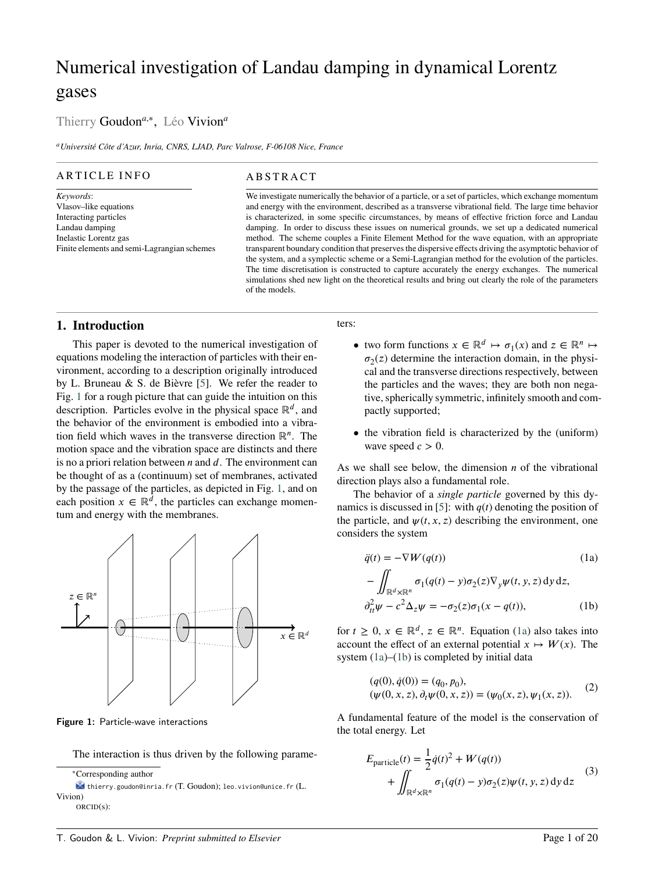# Numerical investigation of Landau damping in dynamical Lorentz gases

# Thierry Goudon*<sup>a</sup>*,<sup>∗</sup> , Léo Vivion*<sup>a</sup>*

*<sup>a</sup>Université Côte d'Azur, Inria, CNRS, LJAD, Parc Valrose, F-06108 Nice, France*

# ARTICLE INFO

#### *Keywords*: Vlasov–like equations Interacting particles Landau damping Inelastic Lorentz gas Finite elements and semi-Lagrangian schemes

# A B S T R A C T

We investigate numerically the behavior of a particle, or a set of particles, which exchange momentum and energy with the environment, described as a transverse vibrational field. The large time behavior is characterized, in some specific circumstances, by means of effective friction force and Landau damping. In order to discuss these issues on numerical grounds, we set up a dedicated numerical method. The scheme couples a Finite Element Method for the wave equation, with an appropriate transparent boundary condition that preserves the dispersive effects driving the asymptotic behavior of the system, and a symplectic scheme or a Semi-Lagrangian method for the evolution of the particles. The time discretisation is constructed to capture accurately the energy exchanges. The numerical simulations shed new light on the theoretical results and bring out clearly the role of the parameters of the models.

# **1. Introduction**

This paper is devoted to the numerical investigation of equations modeling the interaction of particles with their environment, according to a description originally introduced by L. Bruneau & S. de Bièvre [\[5\]](#page-19-0). We refer the reader to Fig. [1](#page-0-0) for a rough picture that can guide the intuition on this description. Particles evolve in the physical space  $\mathbb{R}^d$ , and the behavior of the environment is embodied into a vibration field which waves in the transverse direction ℝ*<sup>𝑛</sup>* . The motion space and the vibration space are distincts and there is no a priori relation between *n* and *d*. The environment can be thought of as a (continuum) set of membranes, activated by the passage of the particles, as depicted in Fig. [1,](#page-0-0) and on each position  $x \in \mathbb{R}^d$ , the particles can exchange momentum and energy with the membranes.

<span id="page-0-0"></span>

Figure 1: Particle-wave interactions

The interaction is thus driven by the following parame-

<sup>∗</sup>Corresponding author

#### ters:

- two form functions  $x \in \mathbb{R}^d \mapsto \sigma_1(x)$  and  $z \in \mathbb{R}^n \mapsto$  $\sigma_2(z)$  determine the interaction domain, in the physical and the transverse directions respectively, between the particles and the waves; they are both non negative, spherically symmetric, infinitely smooth and compactly supported;
- the vibration field is characterized by the (uniform) wave speed  $c > 0$ .

As we shall see below, the dimension *n* of the vibrational direction plays also a fundamental role.

The behavior of a *single particle* governed by this dy-namics is discussed in [\[5\]](#page-19-0): with  $q(t)$  denoting the position of the particle, and  $\psi(t, x, z)$  describing the environment, one considers the system

<span id="page-0-1"></span>
$$
\ddot{q}(t) = -\nabla W(q(t))\tag{1a}
$$

<span id="page-0-2"></span>
$$
-\iint_{\mathbb{R}^d \times \mathbb{R}^n} \sigma_1(q(t) - y)\sigma_2(z)\nabla_y \psi(t, y, z) \,dy \,dz,
$$
  

$$
\partial_{tt}^2 \psi - c^2 \Delta_z \psi = -\sigma_2(z)\sigma_1(x - q(t)),
$$
 (1b)

for  $t \geq 0$ ,  $x \in \mathbb{R}^d$ ,  $z \in \mathbb{R}^n$ . Equation [\(1a\)](#page-0-1) also takes into account the effect of an external potential  $x \mapsto W(x)$ . The system [\(1a\)](#page-0-1)–[\(1b\)](#page-0-2) is completed by initial data

$$
(q(0), \dot{q}(0)) = (q_0, p_0),(\psi(0, x, z), \partial_t \psi(0, x, z)) = (\psi_0(x, z), \psi_1(x, z)).
$$
 (2)

A fundamental feature of the model is the conservation of the total energy. Let

<span id="page-0-3"></span>
$$
E_{\text{particle}}(t) = \frac{1}{2}\dot{q}(t)^2 + W(q(t))
$$
  
+ 
$$
\iint_{\mathbb{R}^d \times \mathbb{R}^n} \sigma_1(q(t) - y)\sigma_2(z)\psi(t, y, z) \,dy \,dz
$$
 (3)

thierry.goudon@inria.fr (T. Goudon); leo.vivion@unice.fr (L. Vivion) ORCID(s):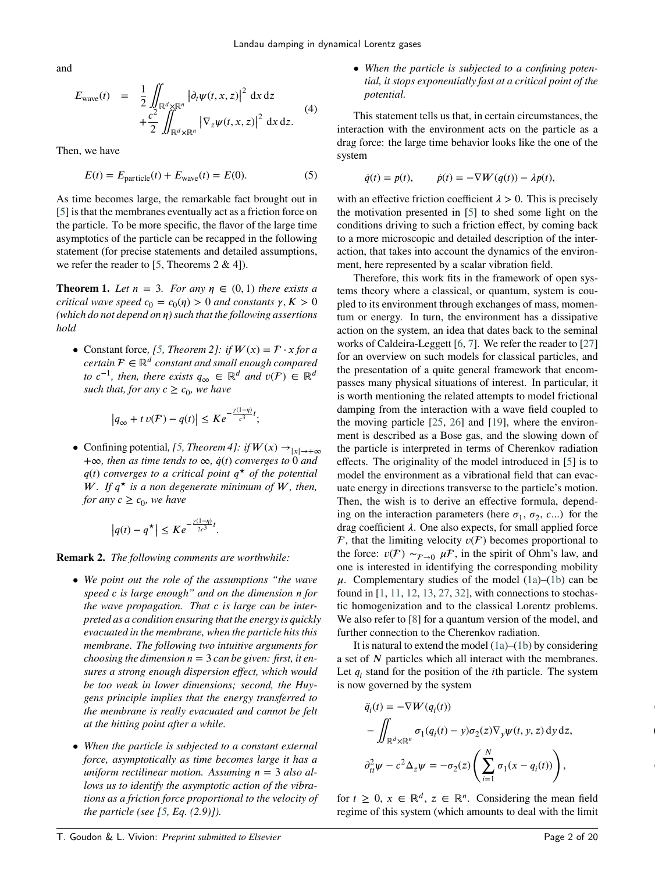<span id="page-1-4"></span>and

$$
E_{\text{wave}}(t) = \frac{1}{2} \iint_{\mathbb{R}^d \times \mathbb{R}^n} |\partial_t \psi(t, x, z)|^2 dx dz
$$
  
+ 
$$
\frac{c^2}{2} \iint_{\mathbb{R}^d \times \mathbb{R}^n} |\nabla_z \psi(t, x, z)|^2 dx dz.
$$
 (4)

Then, we have

<span id="page-1-0"></span>
$$
E(t) = E_{\text{particle}}(t) + E_{\text{wave}}(t) = E(0). \tag{5}
$$

As time becomes large, the remarkable fact brought out in [\[5\]](#page-19-0) is that the membranes eventually act as a friction force on the particle. To be more specific, the flavor of the large time asymptotics of the particle can be recapped in the following statement (for precise statements and detailed assumptions, we refer the reader to [\[5,](#page-19-0) Theorems  $2 \& 4$ ]).

<span id="page-1-3"></span>**Theorem 1.** *Let*  $n = 3$ *. For any*  $n \in (0, 1)$  *there exists a critical wave speed*  $c_0 = c_0(\eta) > 0$  *and constants*  $\gamma, K > 0$ *(which do not depend on 𝜂) such that the following assertions hold*

• Constant force, [\[5,](#page-19-0) *Theorem 2]: if*  $W(x) = F \cdot x$  *for a certain* ∈ ℝ*<sup>𝑑</sup> constant and small enough compared to*  $c^{-1}$ *, then, there exists*  $q_{\infty} \in \mathbb{R}^d$  *and*  $v(\mathcal{F}) \in \mathbb{R}^d$ *such that, for any*  $c \geq c_0$ *, we have* 

$$
\left|q_{\infty} + t v(\mathcal{F}) - q(t)\right| \leq Ke^{-\frac{\gamma(1-\eta)}{c^3}t};
$$

• Confining potential, [\[5,](#page-19-0) *Theorem 4]:* if  $W(x) \rightarrow |x| \rightarrow +\infty$ +∞*, then as time tends to* ∞*, ̇𝑞*(*𝑡*) *converges to* 0 *and 𝑞*(*𝑡*) *converges to a critical point 𝑞 <sup>⋆</sup> of the potential W*. If  $q^*$  is a non degenerate minimum of W, then, *for any*  $c \geq c_0$ *, we have* 

$$
\left|q(t)-q^{\star}\right| \leq Ke^{-\frac{\gamma(1-\eta)}{2c^3}t}.
$$

**Remark 2.** *The following comments are worthwhile:*

- *• We point out the role of the assumptions "the wave speed 𝑐 is large enough" and on the dimension 𝑛 for the wave propagation. That c is large can be interpreted as a condition ensuring that the energy is quickly evacuated in the membrane, when the particle hits this membrane. The following two intuitive arguments for choosing the dimension*  $n = 3$  *can be given: first, it ensures a strong enough dispersion effect, which would be too weak in lower dimensions; second, the Huygens principle implies that the energy transferred to the membrane is really evacuated and cannot be felt at the hitting point after a while.*
- *• When the particle is subjected to a constant external force, asymptotically as time becomes large it has a*  $uniform$  rectilinear motion. Assuming  $n = 3$  also al*lows us to identify the asymptotic action of the vibrations as a friction force proportional to the velocity of the particle (see [\[5,](#page-19-0) Eq. (2.9)]).*

*• When the particle is subjected to a confining potential, it stops exponentially fast at a critical point of the potential.*

This statement tells us that, in certain circumstances, the interaction with the environment acts on the particle as a drag force: the large time behavior looks like the one of the system

$$
\dot{q}(t) = p(t), \qquad \dot{p}(t) = -\nabla W(q(t)) - \lambda p(t),
$$

with an effective friction coefficient  $\lambda > 0$ . This is precisely the motivation presented in [\[5\]](#page-19-0) to shed some light on the conditions driving to such a friction effect, by coming back to a more microscopic and detailed description of the interaction, that takes into account the dynamics of the environment, here represented by a scalar vibration field.

Therefore, this work fits in the framework of open systems theory where a classical, or quantum, system is coupled to its environment through exchanges of mass, momentum or energy. In turn, the environment has a dissipative action on the system, an idea that dates back to the seminal works of Caldeira-Leggett [\[6,](#page-19-1) [7\]](#page-19-2). We refer the reader to [\[27\]](#page-19-3) for an overview on such models for classical particles, and the presentation of a quite general framework that encompasses many physical situations of interest. In particular, it is worth mentioning the related attempts to model frictional damping from the interaction with a wave field coupled to the moving particle [\[25,](#page-19-4) [26\]](#page-19-5) and [\[19\]](#page-19-6), where the environment is described as a Bose gas, and the slowing down of the particle is interpreted in terms of Cherenkov radiation effects. The originality of the model introduced in [\[5\]](#page-19-0) is to model the environment as a vibrational field that can evacuate energy in directions transverse to the particle's motion. Then, the wish is to derive an effective formula, depending on the interaction parameters (here  $\sigma_1$ ,  $\sigma_2$ , *c*...) for the drag coefficient  $\lambda$ . One also expects, for small applied force  $\mathcal F$ , that the limiting velocity  $v(\mathcal F)$  becomes proportional to the force:  $v(\mathcal{F}) \sim_{\mathcal{F}\to 0} \mu \mathcal{F}$ , in the spirit of Ohm's law, and one is interested in identifying the corresponding mobility  $\mu$ . Complementary studies of the model [\(1a\)](#page-0-1)–[\(1b\)](#page-0-2) can be found in [\[1,](#page-18-0) [11,](#page-19-7) [12,](#page-19-8) [13,](#page-19-9) [27,](#page-19-3) [32\]](#page-19-10), with connections to stochastic homogenization and to the classical Lorentz problems. We also refer to [\[8\]](#page-19-11) for a quantum version of the model, and further connection to the Cherenkov radiation.

It is natural to extend the model [\(1a\)](#page-0-1)–[\(1b\)](#page-0-2) by considering a set of *N* particles which all interact with the membranes. Let  $q_i$  stand for the position of the *i*th particle. The system is now governed by the system

<span id="page-1-2"></span><span id="page-1-1"></span>
$$
\ddot{q}_i(t) = -\nabla W(q_i(t))
$$
  
\n
$$
-\iint_{\mathbb{R}^d \times \mathbb{R}^n} \sigma_1(q_i(t) - y)\sigma_2(z)\nabla_y \psi(t, y, z) dy dz,
$$
  
\n
$$
\partial_{tt}^2 \psi - c^2 \Delta_z \psi = -\sigma_2(z) \left( \sum_{i=1}^N \sigma_1(x - q_i(t)) \right),
$$

for  $t \geq 0$ ,  $x \in \mathbb{R}^d$ ,  $z \in \mathbb{R}^n$ . Considering the mean field regime of this system (which amounts to deal with the limit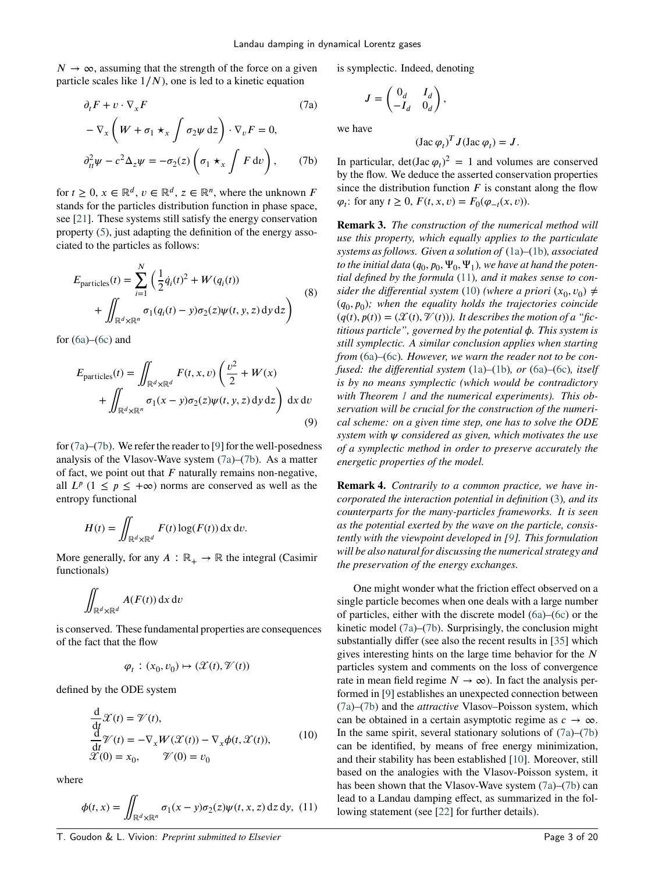$N \to \infty$ , assuming that the strength of the force on a given particle scales like  $1/N$ , one is led to a kinetic equation

$$
\partial_t F + v \cdot \nabla_x F \tag{7a}
$$
\n
$$
-\nabla_x \left( W + \sigma_1 \star_x \int \sigma_2 \psi \,dz \right) \cdot \nabla_v F = 0,
$$
\n
$$
\partial_{tt}^2 \psi - c^2 \Delta_z \psi = -\sigma_2(z) \left( \sigma_1 \star_x \int F \,dv \right), \tag{7b}
$$

for  $t \geq 0$ ,  $x \in \mathbb{R}^d$ ,  $v \in \mathbb{R}^d$ ,  $z \in \mathbb{R}^n$ , where the unknown *F* stands for the particles distribution function in phase space, see [\[21\]](#page-19-12). These systems still satisfy the energy conservation property [\(5\)](#page-1-0), just adapting the definition of the energy associated to the particles as follows:

$$
E_{\text{particles}}(t) = \sum_{i=1}^{N} \left( \frac{1}{2} \dot{q}_i(t)^2 + W(q_i(t)) + \iint_{\mathbb{R}^d \times \mathbb{R}^n} \sigma_1(q_i(t) - y) \sigma_2(z) \psi(t, y, z) \, dy \, dz \right)
$$
(8)

for  $(6a)$ – $(6c)$  and

<span id="page-2-5"></span>
$$
E_{\text{particles}}(t) = \iint_{\mathbb{R}^d \times \mathbb{R}^d} F(t, x, v) \left( \frac{v^2}{2} + W(x) + \iint_{\mathbb{R}^d \times \mathbb{R}^n} \sigma_1(x - y) \sigma_2(z) \psi(t, y, z) \, dy \, dz \right) dx \, dv \tag{9}
$$

for [\(7a\)](#page-2-0)–[\(7b\)](#page-2-1). We refer the reader to [\[9\]](#page-19-13) for the well-posedness analysis of the Vlasov-Wave system [\(7a\)](#page-2-0)–[\(7b\)](#page-2-1). As a matter of fact, we point out that  $F$  naturally remains non-negative, all  $L^p$  ( $1 \leq p \leq +\infty$ ) norms are conserved as well as the entropy functional

$$
H(t) = \iint_{\mathbb{R}^d \times \mathbb{R}^d} F(t) \log(F(t)) \, \mathrm{d}x \, \mathrm{d}v.
$$

More generally, for any  $A : \mathbb{R}_+ \to \mathbb{R}$  the integral (Casimir functionals)

$$
\iint_{\mathbb{R}^d\times\mathbb{R}^d} A(F(t))\,\mathrm{d} x\,\mathrm{d} v
$$

is conserved. These fundamental properties are consequences of the fact that the flow

<span id="page-2-3"></span>
$$
\varphi_t : (x_0, v_0) \mapsto (\mathcal{X}(t), \mathcal{V}(t))
$$

defined by the ODE system

$$
\frac{d}{dt}\mathcal{X}(t) = \mathcal{V}(t),\n\frac{d}{dt}\mathcal{V}(t) = -\nabla_x W(\mathcal{X}(t)) - \nabla_x \phi(t, \mathcal{X}(t)),\n\mathcal{X}(0) = x_0, \qquad \mathcal{V}(0) = v_0
$$
\n(10)

where

<span id="page-2-2"></span>
$$
\phi(t,x) = \iint_{\mathbb{R}^d \times \mathbb{R}^n} \sigma_1(x-y) \sigma_2(z) \psi(t,x,z) \, dz \, dy, \tag{11}
$$

<span id="page-2-0"></span>is symplectic. Indeed, denoting

$$
J = \begin{pmatrix} 0_d & I_d \\ -I_d & 0_d \end{pmatrix},
$$

we have

$$
(\text{Jac }\varphi_t)^T J(\text{Jac }\varphi_t) = J.
$$

<span id="page-2-1"></span>In particular,  $\det(\text{Jac }\varphi_t)^2 = 1$  and volumes are conserved by the flow. We deduce the asserted conservation properties since the distribution function  $F$  is constant along the flow  $\varphi_t$ : for any  $t \geq 0$ ,  $F(t, x, v) = F_0(\varphi_{-t}(x, v))$ .

**Remark 3.** *The construction of the numerical method will use this property, which equally applies to the particulate systems as follows. Given a solution of* [\(1a\)](#page-0-1)*–*[\(1b\)](#page-0-2)*, associated* to the initial data  $(q_0, p_0, \Psi_0, \Psi_1)$ , we have at hand the poten*tial defined by the formula* [\(11\)](#page-2-2)*, and it makes sense to consider the differential system* [\(10\)](#page-2-3) *(where a priori*  $(x_0, v_0) \neq$ (*𝑞*0 *, 𝑝*<sup>0</sup> )*; when the equality holds the trajectories coincide*  $(q(t), p(t)) = (\mathcal{X}(t), \mathcal{V}(t))$ . It describes the motion of a "fic*titious particle", governed by the potential 𝜙. This system is still symplectic. A similar conclusion applies when starting from* [\(6a\)](#page-1-1)*–*[\(6c\)](#page-1-2)*. However, we warn the reader not to be confused: the differential system* [\(1a\)](#page-0-1)*–*[\(1b\)](#page-0-2)*, or* [\(6a\)](#page-1-1)*–*[\(6c\)](#page-1-2)*, itself is by no means symplectic (which would be contradictory with Theorem [1](#page-1-3) and the numerical experiments). This observation will be crucial for the construction of the numerical scheme: on a given time step, one has to solve the ODE system with 𝜓 considered as given, which motivates the use of a symplectic method in order to preserve accurately the energetic properties of the model.*

**Remark 4.** *Contrarily to a common practice, we have incorporated the interaction potential in definition* [\(3\)](#page-0-3)*, and its counterparts for the many-particles frameworks. It is seen as the potential exerted by the wave on the particle, consistently with the viewpoint developed in [\[9\]](#page-19-13). This formulation will be also natural for discussing the numerical strategy and the preservation of the energy exchanges.*

<span id="page-2-4"></span>One might wonder what the friction effect observed on a single particle becomes when one deals with a large number of particles, either with the discrete model [\(6a\)](#page-1-1)–[\(6c\)](#page-1-2) or the kinetic model [\(7a\)](#page-2-0)–[\(7b\)](#page-2-1). Surprisingly, the conclusion might substantially differ (see also the recent results in [\[35\]](#page-19-14) which gives interesting hints on the large time behavior for the *𝑁* particles system and comments on the loss of convergence rate in mean field regime  $N \to \infty$ ). In fact the analysis performed in [\[9\]](#page-19-13) establishes an unexpected connection between [\(7a\)](#page-2-0)–[\(7b\)](#page-2-1) and the *attractive* Vlasov–Poisson system, which can be obtained in a certain asymptotic regime as  $c \rightarrow \infty$ . In the same spirit, several stationary solutions of  $(7a)$ – $(7b)$ can be identified, by means of free energy minimization, and their stability has been established [\[10\]](#page-19-15). Moreover, still based on the analogies with the Vlasov-Poisson system, it has been shown that the Vlasov-Wave system [\(7a\)](#page-2-0)–[\(7b\)](#page-2-1) can lead to a Landau damping effect, as summarized in the following statement (see [\[22\]](#page-19-16) for further details).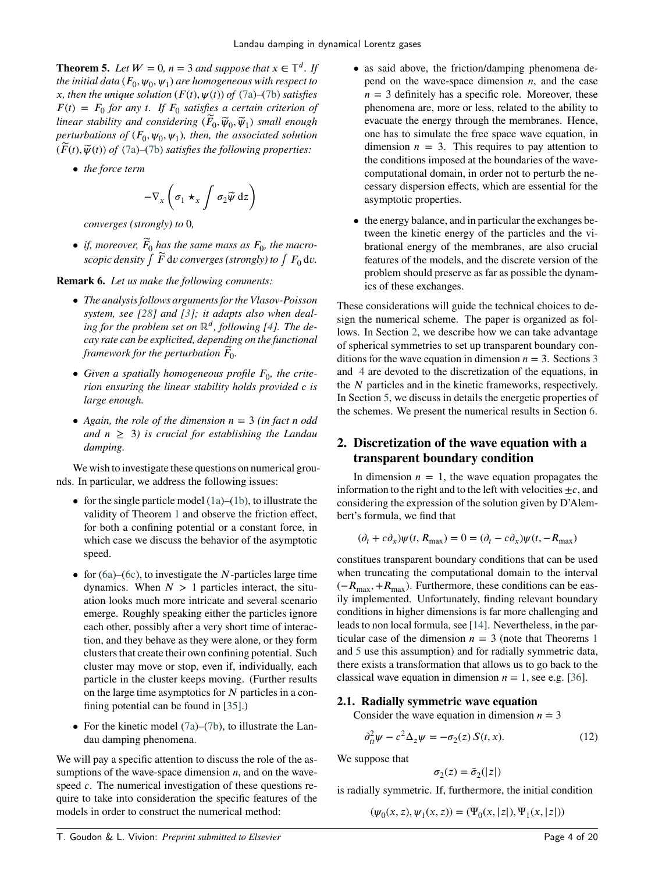**Theorem 5.** *Let*  $W = 0$ ,  $n = 3$  *and suppose that*  $x \in \mathbb{T}^d$ *. If* the initial data  $(F_0,\psi_0,\psi_1)$  are homogeneous with respect to  $\dot{x}$ , then the unique solution  $(F(t), \psi(t))$  of  $(7a)$ – $(7b)$  satisfies  $F(t) = F_0$  for any *t.* If  $F_0$  satisfies a certain criterion of  $l$ *inear stability and considering*  $(\widetilde{F}_0, \widetilde{\psi}_0, \widetilde{\psi}_1)$  *small enough*  $\mathit{perturbations}$  of  $(F_0, \psi_0, \psi_1)$ , then, the associated solution  $(\widetilde{F}(t), \widetilde{\psi}(t))$  of  $(7a)$ – $(7b)$  *satisfies the following properties:* 

*• the force term*

$$
-\nabla_x \left( \sigma_1 \star_x \int \sigma_2 \widetilde{\psi} \,dz \right)
$$

*converges (strongly) to* 0*,*

• *if, moreover,*  $\widetilde{F}_0$  has the same mass as  $F_0$ , the macro*scopic density*  $\int \widetilde{F} \, \mathrm{d}v$  *converges (strongly) to*  $\int F_0 \, \mathrm{d}v$ .

**Remark 6.** *Let us make the following comments:*

- *• The analysis follows arguments for the Vlasov-Poisson system, see [\[28\]](#page-19-17) and [\[3\]](#page-19-18); it adapts also when dealing for the problem set on* ℝ*<sup>𝑑</sup> , following [\[4\]](#page-19-19). The decay rate can be explicited, depending on the functional* framework for the perturbation  $\widetilde{F}_{0}$ .
- Given a spatially homogeneous profile  $F_0$ , the crite*rion ensuring the linear stability holds provided c is large enough.*
- Again, the role of the dimension  $n = 3$  *(in fact n odd*) *and*  $n \geq 3$ *) is crucial for establishing the Landau damping.*

We wish to investigate these questions on numerical grounds. In particular, we address the following issues:

- for the single particle model [\(1a\)](#page-0-1)–[\(1b\)](#page-0-2), to illustrate the validity of Theorem [1](#page-1-3) and observe the friction effect, for both a confining potential or a constant force, in which case we discuss the behavior of the asymptotic speed.
- for [\(6a\)](#page-1-1)–[\(6c\)](#page-1-2), to investigate the *N*-particles large time dynamics. When  $N > 1$  particles interact, the situation looks much more intricate and several scenario emerge. Roughly speaking either the particles ignore each other, possibly after a very short time of interaction, and they behave as they were alone, or they form clusters that create their own confining potential. Such cluster may move or stop, even if, individually, each particle in the cluster keeps moving. (Further results on the large time asymptotics for *N* particles in a confining potential can be found in [\[35\]](#page-19-14).)
- For the kinetic model  $(7a)$ – $(7b)$ , to illustrate the Landau damping phenomena.

We will pay a specific attention to discuss the role of the assumptions of the wave-space dimension  $n$ , and on the wavespeed *c*. The numerical investigation of these questions require to take into consideration the specific features of the models in order to construct the numerical method:

- as said above, the friction/damping phenomena depend on the wave-space dimension  $n$ , and the case  $n = 3$  definitely has a specific role. Moreover, these phenomena are, more or less, related to the ability to evacuate the energy through the membranes. Hence, one has to simulate the free space wave equation, in dimension  $n = 3$ . This requires to pay attention to the conditions imposed at the boundaries of the wavecomputational domain, in order not to perturb the necessary dispersion effects, which are essential for the asymptotic properties.
- the energy balance, and in particular the exchanges between the kinetic energy of the particles and the vibrational energy of the membranes, are also crucial features of the models, and the discrete version of the problem should preserve as far as possible the dynamics of these exchanges.

These considerations will guide the technical choices to design the numerical scheme. The paper is organized as follows. In Section [2,](#page-3-0) we describe how we can take advantage of spherical symmetries to set up transparent boundary conditions for the wave equation in dimension  $n = 3$  $n = 3$ . Sections 3 and [4](#page-6-0) are devoted to the discretization of the equations, in the *N* particles and in the kinetic frameworks, respectively. In Section [5,](#page-8-0) we discuss in details the energetic properties of the schemes. We present the numerical results in Section [6.](#page-10-0)

# <span id="page-3-0"></span>**2. Discretization of the wave equation with a transparent boundary condition**

In dimension  $n = 1$ , the wave equation propagates the information to the right and to the left with velocities  $\pm c$ , and considering the expression of the solution given by D'Alembert's formula, we find that

$$
(\partial_t + c\partial_x)\psi(t, R_{\text{max}}) = 0 = (\partial_t - c\partial_x)\psi(t, -R_{\text{max}})
$$

constitues transparent boundary conditions that can be used when truncating the computational domain to the interval (−*R*<sub>max</sub>, +*R*<sub>max</sub>). Furthermore, these conditions can be easily implemented. Unfortunately, finding relevant boundary conditions in higher dimensions is far more challenging and leads to non local formula, see [\[14\]](#page-19-20). Nevertheless, in the particular case of the dimension  $n = 3$  (note that Theorems [1](#page-1-3)) and [5](#page-2-4) use this assumption) and for radially symmetric data, there exists a transformation that allows us to go back to the classical wave equation in dimension  $n = 1$ , see e.g. [\[36\]](#page-19-21).

# **2.1. Radially symmetric wave equation**

Consider the wave equation in dimension  $n = 3$ 

$$
\partial_{tt}^2 \psi - c^2 \Delta_z \psi = -\sigma_2(z) S(t, x). \tag{12}
$$

We suppose that

<span id="page-3-1"></span>
$$
\sigma_2(z)=\tilde{\sigma}_2(|z|)
$$

is radially symmetric. If, furthermore, the initial condition

$$
(\psi_0(x, z), \psi_1(x, z)) = (\Psi_0(x, |z|), \Psi_1(x, |z|))
$$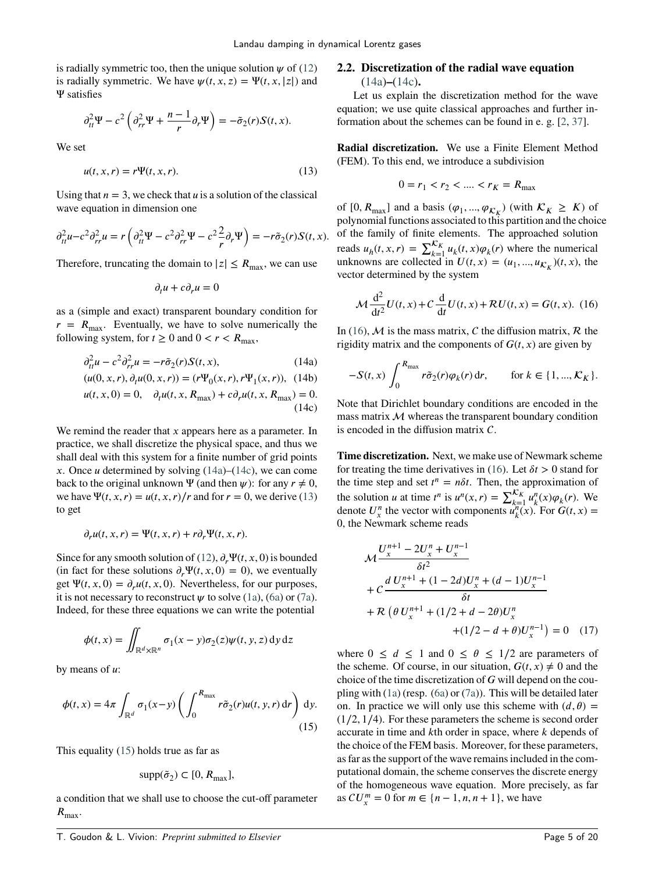is radially symmetric too, then the unique solution  $\psi$  of [\(12\)](#page-3-1) is radially symmetric. We have  $\psi(t, x, z) = \Psi(t, x, |z|)$  and Ψ satisfies

$$
\partial_{tt}^2 \Psi - c^2 \left( \partial_{rr}^2 \Psi + \frac{n-1}{r} \partial_r \Psi \right) = -\tilde{\sigma}_2(r) S(t, x).
$$

We set

<span id="page-4-2"></span>
$$
u(t, x, r) = r\Psi(t, x, r).
$$
 (13)

Using that  $n = 3$ , we check that  $u$  is a solution of the classical wave equation in dimension one

$$
\partial_{tt}^2 u - c^2 \partial_{rr}^2 u = r \left( \partial_{tt}^2 \Psi - c^2 \partial_{rr}^2 \Psi - c^2 \frac{2}{r} \partial_r \Psi \right) = -r \tilde{\sigma}_2(r) S(t, x).
$$

Therefore, truncating the domain to  $|z| \le R_{\text{max}}$ , we can use

$$
\partial_t u + c \partial_r u = 0
$$

as a (simple and exact) transparent boundary condition for  $r = R_{\text{max}}$ . Eventually, we have to solve numerically the following system, for  $t \geq 0$  and  $0 < r < R_{\text{max}}$ ,

$$
\partial_{tt}^2 u - c^2 \partial_{rr}^2 u = -r \tilde{\sigma}_2(r) S(t, x), \qquad (14a)
$$

$$
(u(0, x, r), \partial_t u(0, x, r)) = (r\Psi_0(x, r), r\Psi_1(x, r)), \quad (14b)
$$
  

$$
u(t, x, 0) = 0, \quad \partial_t u(t, x, R_{\text{max}}) + c \partial_r u(t, x, R_{\text{max}}) = 0.
$$
  
(14c)

We remind the reader that *x* appears here as a parameter. In practice, we shall discretize the physical space, and thus we shall deal with this system for a finite number of grid points *x*. Once *u* determined by solving  $(14a)–(14c)$  $(14a)–(14c)$  $(14a)–(14c)$ , we can come back to the original unknown  $\Psi$  (and then  $\psi$ ): for any  $r \neq 0$ , we have  $\Psi(t, x, r) = u(t, x, r)/r$  and for  $r = 0$ , we derive [\(13\)](#page-4-2) to get

$$
\partial_r u(t, x, r) = \Psi(t, x, r) + r \partial_r \Psi(t, x, r).
$$

Since for any smooth solution of [\(12\)](#page-3-1),  $\partial_r \Psi(t, x, 0)$  is bounded (in fact for these solutions  $\partial_r \Psi(t, x, 0) = 0$ ), we eventually get  $\Psi(t, x, 0) = \partial_r u(t, x, 0)$ . Nevertheless, for our purposes, it is not necessary to reconstruct  $\psi$  to solve [\(1a\)](#page-0-1), [\(6a\)](#page-1-1) or [\(7a\)](#page-2-0). Indeed, for these three equations we can write the potential

<span id="page-4-3"></span>
$$
\phi(t, x) = \iint_{\mathbb{R}^d \times \mathbb{R}^n} \sigma_1(x - y) \sigma_2(z) \psi(t, y, z) \, dy \, dz
$$

by means of  $u$ :

$$
\phi(t,x) = 4\pi \int_{\mathbb{R}^d} \sigma_1(x-y) \left( \int_0^{R_{\text{max}}} r \tilde{\sigma}_2(r) u(t,y,r) \, \mathrm{d}r \right) \, \mathrm{d}y. \tag{15}
$$

This equality [\(15\)](#page-4-3) holds true as far as

$$
supp(\tilde{\sigma}_2) \subset [0, R_{\text{max}}],
$$

a condition that we shall use to choose the cut-off parameter  $R_{\text{max}}$ .

# **2.2. Discretization of the radial wave equation** [\(14a\)](#page-4-0)**–**[\(14c\)](#page-4-1)**.**

Let us explain the discretization method for the wave equation; we use quite classical approaches and further information about the schemes can be found in e. g. [\[2,](#page-19-22) [37\]](#page-19-23).

**Radial discretization.** We use a Finite Element Method (FEM). To this end, we introduce a subdivision

<span id="page-4-4"></span>
$$
0 = r_1 < r_2 < \dots < r_K = R_{\text{max}}
$$

of  $[0, R_{\text{max}}]$  and a basis  $(\varphi_1, ..., \varphi_{K_K})$  (with  $K_K \geq K$ ) of polynomial functions associated to this partition and the choice of the family of finite elements. The approached solution reads  $u_h(t, x, r) = \sum_{k=1}^{K_K} u_k(t, x) \varphi_k(r)$  where the numerical unknowns are collected in  $U(t, x) = (u_1, ..., u_{\mathcal{K}_K})(t, x)$ , the vector determined by the system

$$
\mathcal{M}\frac{\mathrm{d}^2}{\mathrm{d}t^2}U(t,x) + C\frac{\mathrm{d}}{\mathrm{d}t}U(t,x) + \mathcal{R}U(t,x) = G(t,x). \tag{16}
$$

<span id="page-4-0"></span>In [\(16\)](#page-4-4),  $\mathcal M$  is the mass matrix, C the diffusion matrix, R the rigidity matrix and the components of  $G(t, x)$  are given by

$$
-S(t,x)\int_0^{R_{\max}} r\tilde{\sigma}_2(r)\varphi_k(r)\,\mathrm{d}r, \qquad \text{for } k \in \{1, ..., \mathcal{K}_K\}.
$$

<span id="page-4-1"></span>Note that Dirichlet boundary conditions are encoded in the mass matrix  $M$  whereas the transparent boundary condition is encoded in the diffusion matrix  $C$ .

**Time discretization.** Next, we make use of Newmark scheme for treating the time derivatives in [\(16\)](#page-4-4). Let  $\delta t > 0$  stand for the time step and set  $t^n = n\delta t$ . Then, the approximation of the solution *u* at time  $t^n$  is  $u^n(x, r) = \sum_{k=1}^{\mathcal{K}_k} \frac{u^n_k(x) \varphi_k(r)}{u^n_k(x)}$ . We denote  $U_x^n$  the vector with components  $\overline{u_k^n(x)}$ . For  $G(t, x) =$ 0, the Newmark scheme reads

<span id="page-4-5"></span>
$$
\mathcal{M} \frac{U_x^{n+1} - 2U_x^n + U_x^{n-1}}{\delta t^2} + C \frac{d U_x^{n+1} + (1 - 2d)U_x^n + (d - 1)U_x^{n-1}}{\delta t} + \mathcal{R} \left(\theta U_x^{n+1} + (1/2 + d - 2\theta)U_x^n + (1/2 - d + \theta)U_x^{n-1}\right) = 0 \quad (17)
$$

where  $0 \le d \le 1$  and  $0 \le \theta \le 1/2$  are parameters of the scheme. Of course, in our situation,  $G(t, x) \neq 0$  and the choice of the time discretization of *G* will depend on the coupling with [\(1a\)](#page-0-1) (resp. [\(6a\)](#page-1-1) or [\(7a\)](#page-2-0)). This will be detailed later on. In practice we will only use this scheme with  $(d, \theta)$  = (1∕2*,* 1∕4). For these parameters the scheme is second order accurate in time and *k*th order in space, where *k* depends of the choice of the FEM basis. Moreover, for these parameters, as far as the support of the wave remains included in the computational domain, the scheme conserves the discrete energy of the homogeneous wave equation. More precisely, as far as  $CU_x^m = 0$  for  $m \in \{n - 1, n, n + 1\}$ , we have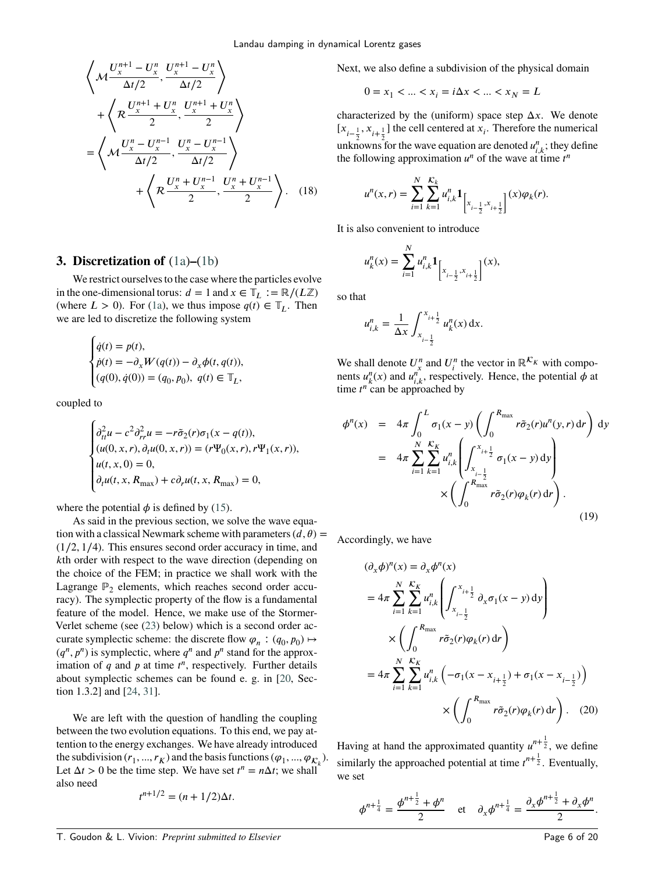$$
\left\langle \mathcal{M} \frac{U_x^{n+1} - U_x^n}{\Delta t/2}, \frac{U_x^{n+1} - U_x^n}{\Delta t/2} \right\rangle
$$
  
+ 
$$
\left\langle \mathcal{R} \frac{U_x^{n+1} + U_x^n}{2}, \frac{U_x^{n+1} + U_x^n}{2} \right\rangle
$$
  
= 
$$
\left\langle \mathcal{M} \frac{U_x^n - U_x^{n-1}}{\Delta t/2}, \frac{U_x^n - U_x^{n-1}}{\Delta t/2} \right\rangle
$$
  
+ 
$$
\left\langle \mathcal{R} \frac{U_x^n + U_x^{n-1}}{2}, \frac{U_x^n + U_x^{n-1}}{2} \right\rangle. (18)
$$

# <span id="page-5-0"></span>**3. Discretization of** [\(1a\)](#page-0-1)**–**[\(1b\)](#page-0-2)

We restrict ourselves to the case where the particles evolve in the one-dimensional torus:  $d = 1$  and  $x \in \mathbb{T}$ <sub>*L*</sub> :=  $\mathbb{R}/(L\mathbb{Z})$ (where  $L > 0$ ). For [\(1a\)](#page-0-1), we thus impose  $q(t) \in \mathbb{T}$ <sub>*t*</sub>. Then we are led to discretize the following system

$$
\begin{cases}\n\dot{q}(t) = p(t), \\
\dot{p}(t) = -\partial_x W(q(t)) - \partial_x \phi(t, q(t)), \\
(q(0), \dot{q}(0)) = (q_0, p_0), \ q(t) \in \mathbb{T}_L,\n\end{cases}
$$

coupled to

$$
\begin{cases}\n\partial_{tt}^2 u - c^2 \partial_{rr}^2 u = -r \tilde{\sigma}_2(r) \sigma_1(x - q(t)), \\
(u(0, x, r), \partial_t u(0, x, r)) = (r \Psi_0(x, r), r \Psi_1(x, r)), \\
u(t, x, 0) = 0, \\
\partial_t u(t, x, R_{\text{max}}) + c \partial_r u(t, x, R_{\text{max}}) = 0,\n\end{cases}
$$

where the potential  $\phi$  is defined by [\(15\)](#page-4-3).

As said in the previous section, we solve the wave equation with a classical Newmark scheme with parameters  $(d, \theta)$  = (1∕2*,* 1∕4). This ensures second order accuracy in time, and *k*th order with respect to the wave direction (depending on the choice of the FEM; in practice we shall work with the Lagrange  $\mathbb{P}_2$  elements, which reaches second order accuracy). The symplectic property of the flow is a fundamental feature of the model. Hence, we make use of the Stormer-Verlet scheme (see [\(23\)](#page-6-1) below) which is a second order accurate symplectic scheme: the discrete flow  $\varphi_n : (q_0, p_0) \mapsto$  $(q^n, p^n)$  is symplectic, where  $q^n$  and  $p^n$  stand for the approximation of  $q$  and  $p$  at time  $t^n$ , respectively. Further details about symplectic schemes can be found e. g. in [\[20,](#page-19-24) Section 1.3.2] and [\[24,](#page-19-25) [31\]](#page-19-26).

We are left with the question of handling the coupling between the two evolution equations. To this end, we pay attention to the energy exchanges. We have already introduced the subdivision  $(r_1, ..., r_K)$  and the basis functions  $(\varphi_1, ..., \varphi_{K_k})$ . Let  $\Delta t > 0$  be the time step. We have set  $t^n = n\Delta t$ ; we shall also need

$$
t^{n+1/2} = (n+1/2)\Delta t.
$$

Next, we also define a subdivision of the physical domain

$$
0 = x_1 < \dots < x_i = i\Delta x < \dots < x_N = L
$$

characterized by the (uniform) space step  $\Delta x$ . We denote  $[x_{i-\frac{1}{2}}, x_{i+\frac{1}{2}}]$  the cell centered at  $x_i$ . Therefore the numerical unknowns for the wave equation are denoted  $u_{i,k}^n$ ; they define the following approximation  $u^n$  of the wave at time  $t^n$ 

$$
u^{n}(x,r)=\sum_{i=1}^{N}\sum_{k=1}^{K_{k}}u_{i,k}^{n}\mathbf{1}_{\left[x_{i-\frac{1}{2}},x_{i+\frac{1}{2}}\right]}(x)\varphi_{k}(r).
$$

<span id="page-5-3"></span>It is also convenient to introduce

$$
u_k^n(x) = \sum_{i=1}^N u_{i,k}^n \mathbf{1}_{\left[x_{i-\frac{1}{2}}, x_{i+\frac{1}{2}}\right]}(x),
$$

so that

<span id="page-5-1"></span>
$$
u_{i,k}^n = \frac{1}{\Delta x} \int_{x_{i-\frac{1}{2}}}^{x_{i+\frac{1}{2}}} u_k^n(x) \, dx.
$$

We shall denote  $U_{x}^{n}$  and  $U_{i}^{n}$  the vector in  $\mathbb{R}^{\mathcal{K}_{K}}$  with components  $u_k^n(x)$  and  $u_{i,k}^n$ , respectively. Hence, the potential  $\phi$  at time  $t^n$  can be approached by

$$
\phi^{n}(x) = 4\pi \int_{0}^{L} \sigma_{1}(x - y) \left( \int_{0}^{R_{\max}} r \tilde{\sigma}_{2}(r) u^{n}(y, r) dr \right) dy
$$

$$
= 4\pi \sum_{i=1}^{N} \sum_{k=1}^{K_{K}} u_{i,k}^{n} \left( \int_{x_{i-\frac{1}{2}}}^{x_{i+\frac{1}{2}}} \sigma_{1}(x - y) dy \right)
$$

$$
\times \left( \int_{0}^{R_{\max}} r \tilde{\sigma}_{2}(r) \varphi_{k}(r) dr \right).
$$
(19)

Accordingly, we have

$$
(\partial_x \phi)^n(x) = \partial_x \phi^n(x)
$$
  
=  $4\pi \sum_{i=1}^N \sum_{k=1}^{K_K} u_{i,k}^n \left( \int_{x_{i-\frac{1}{2}}}^{x_{i+\frac{1}{2}}} \partial_x \sigma_1(x - y) dy \right)$   

$$
\times \left( \int_0^{R_{\text{max}}} r \tilde{\sigma}_2(r) \varphi_k(r) dr \right)
$$
  
=  $4\pi \sum_{i=1}^N \sum_{k=1}^{K_K} u_{i,k}^n \left( -\sigma_1(x - x_{i+\frac{1}{2}}) + \sigma_1(x - x_{i-\frac{1}{2}}) \right)$   

$$
\times \left( \int_0^{R_{\text{max}}} r \tilde{\sigma}_2(r) \varphi_k(r) dr \right).
$$
 (20)

Having at hand the approximated quantity  $u^{n+\frac{1}{2}}$ , we define similarly the approached potential at time  $t^{n+\frac{1}{2}}$ . Eventually, we set

<span id="page-5-2"></span>
$$
\phi^{n+\frac{1}{4}} = \frac{\phi^{n+\frac{1}{2}} + \phi^n}{2} \quad \text{et} \quad \partial_x \phi^{n+\frac{1}{4}} = \frac{\partial_x \phi^{n+\frac{1}{2}} + \partial_x \phi^n}{2}.
$$

T. Goudon & L. Vivion: *Preprint submitted to Elsevier* Page 6 of 20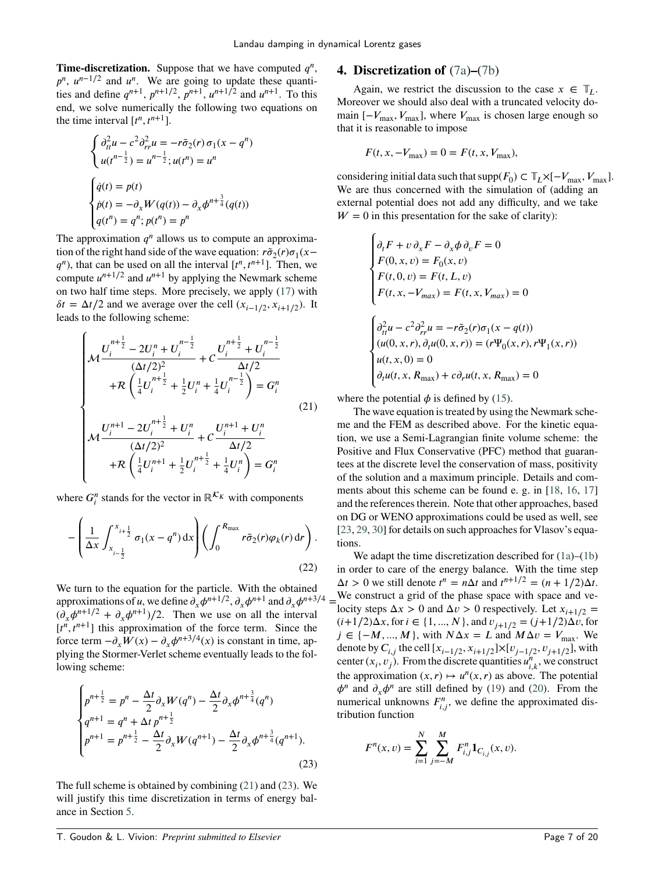**Time-discretization.** Suppose that we have computed  $q^n$ ,  $p^n$ ,  $u^{n-1/2}$  and  $u^n$ . We are going to update these quantities and define  $q^{n+1}$ ,  $p^{n+1/2}$ ,  $p^{n+1}$ ,  $u^{n+1/2}$  and  $u^{n+1}$ . To this end, we solve numerically the following two equations on the time interval  $[t^n, t^{n+1}]$ .

$$
\begin{cases}\n\frac{\partial_u^2 u - c^2 \partial_{rr}^2 u = -r \tilde{\sigma}_2(r) \sigma_1(x - q^n)}{u(t^{n - \frac{1}{2}}) = u^{n - \frac{1}{2}}; u(t^n) = u^n}\n\end{cases}
$$
\n
$$
\begin{cases}\n\dot{q}(t) = p(t) \\
\dot{p}(t) = -\partial_x W(q(t)) - \partial_x \phi^{n + \frac{3}{4}}(q(t)) \\
q(t^n) = q^n; p(t^n) = p^n\n\end{cases}
$$

The approximation  $q^n$  allows us to compute an approximation of the right hand side of the wave equation:  $\vec{r} \tilde{\sigma}_2(r) \sigma_1(x-\vec{r})$  $q^n$ ), that can be used on all the interval  $[t^n, t^{n+1}]$ . Then, we compute  $u^{n+1/2}$  and  $u^{n+1}$  by applying the Newmark scheme on two half time steps. More precisely, we apply [\(17\)](#page-4-5) with  $\delta t = \Delta t/2$  and we average over the cell  $(x_{i-1/2}, x_{i+1/2})$ . It leads to the following scheme:

<span id="page-6-2"></span>
$$
\begin{cases}\n\mathcal{M} \frac{U_i^{n+\frac{1}{2}} - 2U_i^n + U_i^{n-\frac{1}{2}}}{(\Delta t/2)^2} + C \frac{U_i^{n+\frac{1}{2}} + U_i^{n-\frac{1}{2}}}{\Delta t/2} \\
+ \mathcal{R} \left( \frac{1}{4} U_i^{n+\frac{1}{2}} + \frac{1}{2} U_i^n + \frac{1}{4} U_i^{n-\frac{1}{2}} \right) = G_i^n \\
\mathcal{M} \frac{U_i^{n+1} - 2U_i^{n+\frac{1}{2}} + U_i^n}{(\Delta t/2)^2} + C \frac{U_i^{n+1} + U_i^n}{\Delta t/2} \\
+ \mathcal{R} \left( \frac{1}{4} U_i^{n+1} + \frac{1}{2} U_i^{n+\frac{1}{2}} + \frac{1}{4} U_i^n \right) = G_i^n\n\end{cases} (21)
$$

where  $G_i^n$  stands for the vector in  $\mathbb{R}^{\mathcal{K}_K}$  with components

$$
-\left(\frac{1}{\Delta x}\int_{x_{i-\frac{1}{2}}}^{x_{i+\frac{1}{2}}} \sigma_1(x-q^n) dx\right) \left(\int_0^{R_{\max}} r\tilde{\sigma}_2(r)\varphi_k(r) dr\right).
$$
\n(22)

We turn to the equation for the particle. With the obtained approximations of *u*, we define  $\partial_x \phi^{n+1/2}$ ,  $\partial_x \phi^{n+1}$  and  $\partial_x \phi^{n+3/4} =$  $(\partial_x \phi^{n+1/2} + \partial_x \phi^{n+1})/2$ . Then we use on all the interval  $[t^n, t^{n+1}]$  this approximation of the force term. Since the force term  $-\partial_x W(x) - \partial_x \phi^{n+3/4}(x)$  is constant in time, applying the Stormer-Verlet scheme eventually leads to the following scheme:

<span id="page-6-1"></span>
$$
\begin{cases}\np^{n+\frac{1}{2}} = p^n - \frac{\Delta t}{2} \partial_x W(q^n) - \frac{\Delta t}{2} \partial_x \phi^{n+\frac{3}{4}}(q^n) \\
q^{n+1} = q^n + \Delta t \, p^{n+\frac{1}{2}} \\
p^{n+1} = p^{n+\frac{1}{2}} - \frac{\Delta t}{2} \partial_x W(q^{n+1}) - \frac{\Delta t}{2} \partial_x \phi^{n+\frac{3}{4}}(q^{n+1}).\n\end{cases} \tag{23}
$$

The full scheme is obtained by combining [\(21\)](#page-6-2) and [\(23\)](#page-6-1). We will justify this time discretization in terms of energy balance in Section [5.](#page-8-0)

# <span id="page-6-0"></span>**4. Discretization of** [\(7a\)](#page-2-0)**–**[\(7b\)](#page-2-1)

Again, we restrict the discussion to the case  $x \in \mathbb{T}$ . Moreover we should also deal with a truncated velocity domain  $[-V_{\text{max}}, V_{\text{max}}]$ , where  $V_{\text{max}}$  is chosen large enough so that it is reasonable to impose

$$
F(t, x, -V_{\text{max}}) = 0 = F(t, x, V_{\text{max}}),
$$

considering initial data such that  $\text{supp}(F_0) \subset \mathbb{T}_L \times [-V_{\text{max}}, V_{\text{max}}]$ . We are thus concerned with the simulation of (adding an external potential does not add any difficulty, and we take  $W = 0$  in this presentation for the sake of clarity):

$$
\begin{cases}\n\partial_t F + v \, \partial_x F - \partial_x \phi \, \partial_v F = 0 \\
F(0, x, v) = F_0(x, v) \\
F(t, 0, v) = F(t, L, v) \\
F(t, x, -V_{max}) = F(t, x, V_{max}) = 0\n\end{cases}
$$
\n
$$
\begin{cases}\n\partial_t^2 u - c^2 \partial_{rr}^2 u = -r \tilde{\sigma}_2(r) \sigma_1(x - q(t)) \\
(u(0, x, r), \partial_t u(0, x, r)) = (r \Psi_0(x, r), r \Psi_1(x, r)) \\
u(t, x, 0) = 0 \\
\partial_t u(t, x, R_{max}) + c \partial_r u(t, x, R_{max}) = 0\n\end{cases}
$$

where the potential  $\phi$  is defined by [\(15\)](#page-4-3).

The wave equation is treated by using the Newmark scheme and the FEM as described above. For the kinetic equation, we use a Semi-Lagrangian finite volume scheme: the Positive and Flux Conservative (PFC) method that guarantees at the discrete level the conservation of mass, positivity of the solution and a maximum principle. Details and comments about this scheme can be found e. g. in [\[18,](#page-19-27) [16,](#page-19-28) [17\]](#page-19-29) and the references therein. Note that other approaches, based on DG or WENO approximations could be used as well, see [\[23,](#page-19-30) [29,](#page-19-31) [30\]](#page-19-32) for details on such approaches for Vlasov's equations.

<span id="page-6-3"></span>We adapt the time discretization described for  $(1a)$ – $(1b)$ in order to care of the energy balance. With the time step  $\Delta t > 0$  we still denote  $t^n = n\Delta t$  and  $t^{n+1/2} = (n+1/2)\Delta t$ . We construct a grid of the phase space with space and velocity steps  $\Delta x > 0$  and  $\Delta v > 0$  respectively. Let  $x_{i+1/2} =$  $(i+1/2)\Delta x$ , for  $i \in \{1, ..., N\}$ , and  $v_{j+1/2} = (j+1/2)\Delta v$ , for  $j \in \{-M, ..., M\}$ , with  $N\Delta x = L$  and  $M\Delta v = V_{\text{max}}$ . We denote by  $C_{i,j}$  the cell  $[x_{i-1/2}, x_{i+1/2}] \times [v_{j-1/2}, v_{j+1/2}]$ , with center  $(x_i, v_j)$ . From the discrete quantities  $u_{i,k}^n$ , we construct the approximation  $(x, r) \mapsto u^n(x, r)$  as above. The potential  $\phi^n$  and  $\partial_x \phi^n$  are still defined by [\(19\)](#page-5-1) and [\(20\)](#page-5-2). From the numerical unknowns  $F_{i,j}^n$ , we define the approximated distribution function

$$
F^{n}(x, v) = \sum_{i=1}^{N} \sum_{j=-M}^{M} F_{i,j}^{n} 1_{C_{i,j}}(x, v).
$$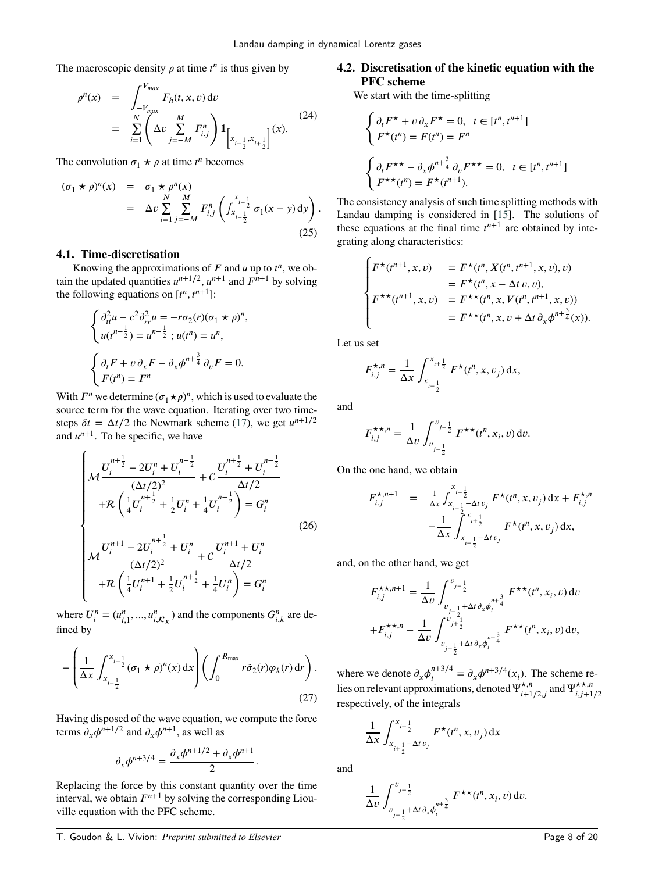The macroscopic density  $\rho$  at time  $t^n$  is thus given by

$$
\rho^{n}(x) = \int_{-V_{max}}^{V_{max}} F_h(t, x, v) dv
$$
  
= 
$$
\sum_{i=1}^{N} \left( \Delta v \sum_{j=-M}^{M} F_{i,j}^{n} \right) \mathbf{1}_{\left[x_{i-\frac{1}{2}}, x_{i+\frac{1}{2}}\right]}(x).
$$
 (24)

The convolution  $\sigma_1 \star \rho$  at time  $t^n$  becomes

$$
(\sigma_1 \star \rho)^n(x) = \sigma_1 \star \rho^n(x)
$$
  
=  $\Delta v \sum_{i=1}^N \sum_{j=-M}^M F_{i,j}^n \left( \int_{x_{i-\frac{1}{2}}}^{x_{i+\frac{1}{2}}} \sigma_1(x-y) dy \right).$  (25)

## **4.1. Time-discretisation**

Knowing the approximations of  $F$  and  $u$  up to  $t^n$ , we obtain the updated quantities  $u^{n+1/2}$ ,  $u^{n+1}$  and  $F^{n+1}$  by solving the following equations on  $[t^n, t^{n+1}]$ :

$$
\begin{cases} \partial_{tt}^2 u - c^2 \partial_{rr}^2 u = -r \sigma_2(r) (\sigma_1 \star \rho)^n, \\ u(t^{n-\frac{1}{2}}) = u^{n-\frac{1}{2}} \, ; u(t^n) = u^n, \end{cases}
$$

$$
\begin{cases} \partial_t F + v \, \partial_x F - \partial_x \phi^{n+\frac{3}{4}} \, \partial_v F = 0, \\ F(t^n) = F^n \end{cases}
$$

With  $F^n$  we determine  $(\sigma_1 \star \rho)^n$ , which is used to evaluate the source term for the wave equation. Iterating over two timesteps  $\delta t = \Delta t/2$  the Newmark scheme [\(17\)](#page-4-5), we get  $u^{n+1/2}$ and  $u^{n+1}$ . To be specific, we have

<span id="page-7-0"></span>
$$
\begin{cases}\n\mathcal{M} \frac{U_i^{n+\frac{1}{2}} - 2U_i^n + U_i^{n-\frac{1}{2}}}{(\Delta t/2)^2} + C \frac{U_i^{n+\frac{1}{2}} + U_i^{n-\frac{1}{2}}}{\Delta t/2} \\
+ \mathcal{R} \left( \frac{1}{4} U_i^{n+\frac{1}{2}} + \frac{1}{2} U_i^n + \frac{1}{4} U_i^{n-\frac{1}{2}} \right) = G_i^n \\
\mathcal{M} \frac{U_i^{n+1} - 2U_i^{n+\frac{1}{2}} + U_i^n}{(\Delta t/2)^2} + C \frac{U_i^{n+1} + U_i^n}{\Delta t/2} \\
+ \mathcal{R} \left( \frac{1}{4} U_i^{n+1} + \frac{1}{2} U_i^{n+\frac{1}{2}} + \frac{1}{4} U_i^n \right) = G_i^n\n\end{cases}
$$
\n(26)

<span id="page-7-1"></span>where  $U_i^n = (u_{i,1}^n, ..., u_{i,\mathcal{K}_K}^n)$  and the components  $G_{i,k}^n$  are defined by

$$
-\left(\frac{1}{\Delta x}\int_{x_{i-\frac{1}{2}}}^{x_{i+\frac{1}{2}}} (\sigma_1 \star \rho)^n(x) dx\right) \left(\int_0^{R_{\max}} r\tilde{\sigma}_2(r)\varphi_k(r) dr\right).
$$
\n(27)

Having disposed of the wave equation, we compute the force terms  $\partial_x \phi^{n+1/2}$  and  $\partial_x \phi^{n+1}$ , as well as

$$
\partial_x \phi^{n+3/4} = \frac{\partial_x \phi^{n+1/2} + \partial_x \phi^{n+1}}{2}
$$

*.*

Replacing the force by this constant quantity over the time interval, we obtain  $F^{n+1}$  by solving the corresponding Liouville equation with the PFC scheme.

# **4.2. Discretisation of the kinetic equation with the PFC scheme**

We start with the time-splitting

 $\overline{a}$ 

$$
\begin{cases} \partial_t F^\star + v \partial_x F^\star = 0, \ t \in [t^n, t^{n+1}] \\ F^\star(t^n) = F(t^n) = F^n \end{cases}
$$

$$
\begin{cases} \partial_t F^{\star \star} - \partial_x \phi^{n+\frac{3}{4}} \partial_v F^{\star \star} = 0, \ t \in [t^n, t^{n+1}] \\ F^{\star \star}(t^n) = F^\star(t^{n+1}). \end{cases}
$$

<span id="page-7-2"></span>The consistency analysis of such time splitting methods with Landau damping is considered in [\[15\]](#page-19-33). The solutions of these equations at the final time  $t^{n+1}$  are obtained by integrating along characteristics:

$$
\begin{cases}\nF^{\star}(t^{n+1}, x, v) &= F^{\star}(t^n, X(t^n, t^{n+1}, x, v), v) \\
&= F^{\star}(t^n, x - \Delta t v, v), \\
F^{\star \star}(t^{n+1}, x, v) &= F^{\star \star}(t^n, x, V(t^n, t^{n+1}, x, v)) \\
&= F^{\star \star}(t^n, x, v + \Delta t \partial_x \phi^{n + \frac{3}{4}}(x)).\n\end{cases}
$$

Let us set

$$
F_{i,j}^{\star,n} = \frac{1}{\Delta x} \int_{x_{i-\frac{1}{2}}}^{x_{i+\frac{1}{2}}} F^{\star}(t^n, x, v_j) dx,
$$

and

$$
F_{i,j}^{\star\star,n} = \frac{1}{\Delta v} \int_{v_{j-\frac{1}{2}}}^{v_{j+\frac{1}{2}}} F^{\star\star}(t^n, x_i, v) \,dv.
$$

On the one hand, we obtain

$$
F_{i,j}^{\star,n+1} = \frac{1}{\Delta x} \int_{x_{i-\frac{1}{2}}-\Delta t}^{x_{i-\frac{1}{2}}-\Delta t} F^{\star}(t^n, x, v_j) dx + F_{i,j}^{\star,n}
$$

$$
-\frac{1}{\Delta x} \int_{x_{i+\frac{1}{2}}-\Delta t}^{x_{i+\frac{1}{2}}-\Delta t} F^{\star}(t^n, x, v_j) dx,
$$

and, on the other hand, we get

$$
F_{i,j}^{\star\star,n+1} = \frac{1}{\Delta v} \int_{v_{j-\frac{1}{2}}+\Delta t \partial_x \phi_i^{n+\frac{3}{4}}}^{v_{j-\frac{1}{2}}} F^{\star\star}(t^n, x_i, v) dv
$$
  
+
$$
F_{i,j}^{\star\star,n} - \frac{1}{\Delta v} \int_{v_{j+\frac{1}{2}}+\Delta t \partial_x \phi_i^{n+\frac{3}{4}}}^{v_{j+\frac{1}{2}}+\Delta t \partial_x \phi_i^{n+\frac{3}{4}}} F^{\star\star}(t^n, x_i, v) dv,
$$

where we denote  $\partial_x \phi_i^{n+3/4}$  $\partial_x \phi^{n+3/4}(x_i)$ . The scheme relies on relevant approximations, denoted  $\Psi_{i+1/2,j}^{\star,n}$  and  $\Psi_{i,j+1}^{\star,n}$  $(i,j+1/2)$ respectively, of the integrals

$$
\frac{1}{\Delta x} \int_{x_{i+\frac{1}{2}} - \Delta t v_j}^{x_{i+\frac{1}{2}}} F^{\star}(t^n, x, v_j) \, dx
$$

and

$$
\frac{1}{\Delta v} \int_{v_{j+\frac{1}{2}}+\Delta t \partial_x \phi_i^{n+\frac{3}{4}}}^{v_{j+\frac{1}{2}}} F^{\star \star}(t^n, x_i, v) \, \mathrm{d}v.
$$

T. Goudon & L. Vivion: *Preprint submitted to Elsevier* Page 8 of 20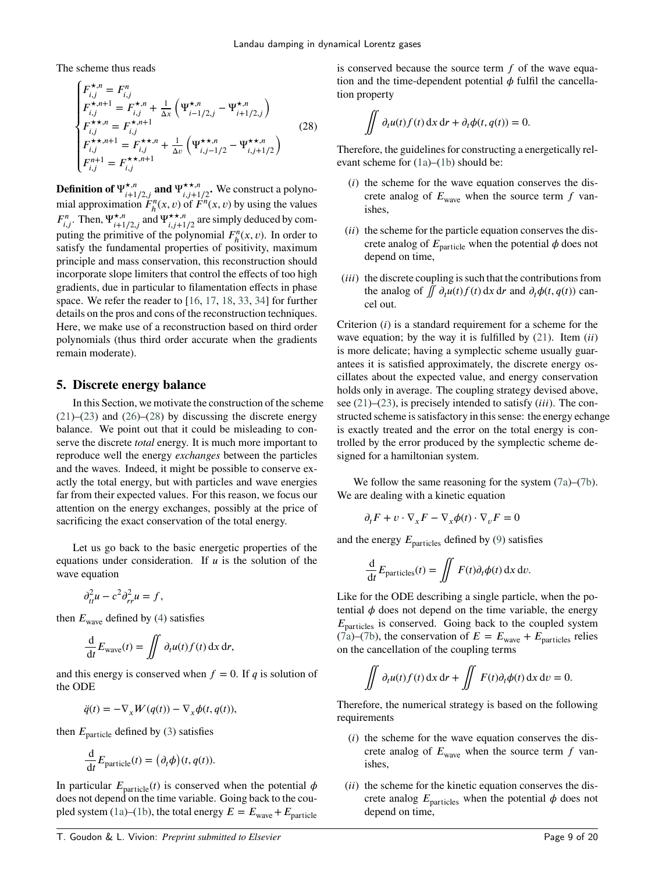The scheme thus reads

<span id="page-8-1"></span>
$$
\begin{cases}\nF_{i,j}^{\star,n} = F_{i,j}^n \\
F_{i,j}^{\star,n+1} = F_{i,j}^{\star,n} + \frac{1}{\Delta x} \left( \Psi_{i-1/2,j}^{\star,n} - \Psi_{i+1/2,j}^{\star,n} \right) \\
F_{i,j}^{\star\star,n} = F_{i,j}^{\star,n+1} \\
F_{i,j}^{\star\star,n+1} = F_{i,j}^{\star\star,n} + \frac{1}{\Delta v} \left( \Psi_{i,j-1/2}^{\star\star,n} - \Psi_{i,j+1/2}^{\star\star,n} \right) \\
F_{i,j}^{n+1} = F_{i,j}^{\star\star,n+1}\n\end{cases} \tag{28}
$$

**Definition of**  $\Psi_{i+1/2,j}^{\star,n}$  and  $\Psi_{i,j+1/2}^{\star,n}$ . We construct a polynomial approximation  $\tilde{F}_h^n(x, v)$  of  $\tilde{F}^n(x, v)$  by using the values  $F_{i,j}^n$ . Then,  $\Psi_{i+1/2,j}^{\star,n}$  and  $\Psi_{i,j+1/2}^{\star,\star,n}$  are simply deduced by computing the primitive of the polynomial  $F_h^n(x, v)$ . In order to satisfy the fundamental properties of positivity, maximum principle and mass conservation, this reconstruction should incorporate slope limiters that control the effects of too high gradients, due in particular to filamentation effects in phase space. We refer the reader to [\[16,](#page-19-28) [17,](#page-19-29) [18,](#page-19-27) [33,](#page-19-34) [34\]](#page-19-35) for further details on the pros and cons of the reconstruction techniques. Here, we make use of a reconstruction based on third order polynomials (thus third order accurate when the gradients remain moderate).

# <span id="page-8-0"></span>**5. Discrete energy balance**

In this Section, we motivate the construction of the scheme  $(21)$ – $(23)$  and  $(26)$ – $(28)$  by discussing the discrete energy balance. We point out that it could be misleading to conserve the discrete *total* energy. It is much more important to reproduce well the energy *exchanges* between the particles and the waves. Indeed, it might be possible to conserve exactly the total energy, but with particles and wave energies far from their expected values. For this reason, we focus our attention on the energy exchanges, possibly at the price of sacrificing the exact conservation of the total energy.

Let us go back to the basic energetic properties of the equations under consideration. If  *is the solution of the* wave equation

$$
\partial_{tt}^2 u - c^2 \partial_{rr}^2 u = f,
$$

then  $E_{\text{wave}}$  defined by [\(4\)](#page-1-4) satisfies

$$
\frac{\mathrm{d}}{\mathrm{d}t}E_{\text{wave}}(t) = \iint \partial_t u(t)f(t) \,\mathrm{d}x \,\mathrm{d}r,
$$

and this energy is conserved when  $f = 0$ . If  $q$  is solution of the ODE

$$
\ddot{q}(t) = -\nabla_x W(q(t)) - \nabla_x \phi(t, q(t)),
$$

then  $E_{\text{particle}}$  defined by [\(3\)](#page-0-3) satisfies

$$
\frac{\mathrm{d}}{\mathrm{d}t} E_{\text{particle}}(t) = \left(\partial_t \phi\right)(t, q(t)).
$$

In particular  $E_{\text{particle}}(t)$  is conserved when the potential  $\phi$ does not depend on the time variable. Going back to the cou-pled system [\(1a\)](#page-0-1)–[\(1b\)](#page-0-2), the total energy  $E = E_{\text{wave}} + E_{\text{particle}}$ 

is conserved because the source term *f* of the wave equation and the time-dependent potential  $\phi$  fulfil the cancellation property

$$
\iint \partial_t u(t) f(t) \, dx \, dr + \partial_t \phi(t, q(t)) = 0.
$$

Therefore, the guidelines for constructing a energetically relevant scheme for [\(1a\)](#page-0-1)–[\(1b\)](#page-0-2) should be:

- (*i*) the scheme for the wave equation conserves the discrete analog of  $E_{\text{wave}}$  when the source term  $f$  vanishes,
- (*ii*) the scheme for the particle equation conserves the discrete analog of  $E_{\text{particle}}$  when the potential  $\phi$  does not depend on time,
- (*iii*) the discrete coupling is such that the contributions from the analog of  $\iint \partial_t u(t) f(t) dx dr$  and  $\partial_t \phi(t, q(t))$  cancel out.

Criterion (*i*) is a standard requirement for a scheme for the wave equation; by the way it is fulfilled by  $(21)$ . Item  $(ii)$ is more delicate; having a symplectic scheme usually guarantees it is satisfied approximately, the discrete energy oscillates about the expected value, and energy conservation holds only in average. The coupling strategy devised above, see [\(21\)](#page-6-2)–[\(23\)](#page-6-1), is precisely intended to satisfy *(iii)*. The constructed scheme is satisfactory in this sense: the energy echange is exactly treated and the error on the total energy is controlled by the error produced by the symplectic scheme designed for a hamiltonian system.

We follow the same reasoning for the system  $(7a)$ – $(7b)$ . We are dealing with a kinetic equation

$$
\partial_t F + v \cdot \nabla_x F - \nabla_x \phi(t) \cdot \nabla_v F = 0
$$

and the energy  $E_{\text{particles}}$  defined by [\(9\)](#page-2-5) satisfies

 $\overline{a}$ 

$$
\frac{\mathrm{d}}{\mathrm{d}t} E_{\text{particles}}(t) = \iint F(t)\partial_t \phi(t) \,\mathrm{d}x \,\mathrm{d}v.
$$

Like for the ODE describing a single particle, when the potential  $\phi$  does not depend on the time variable, the energy  $E_{\text{particles}}$  is conserved. Going back to the coupled system  $(7a)$ –[\(7b\)](#page-2-1), the conservation of  $E = E_{\text{wave}} + E_{\text{particles}}$  relies on the cancellation of the coupling terms

$$
\iint \partial_t u(t) f(t) \, \mathrm{d}x \, \mathrm{d}r + \iint F(t) \partial_t \phi(t) \, \mathrm{d}x \, \mathrm{d}v = 0.
$$

Therefore, the numerical strategy is based on the following requirements

- (*i*) the scheme for the wave equation conserves the discrete analog of  $E_{\text{wave}}$  when the source term  $f$  vanishes,
- (*ii*) the scheme for the kinetic equation conserves the discrete analog  $E_{\text{particles}}$  when the potential  $\phi$  does not depend on time,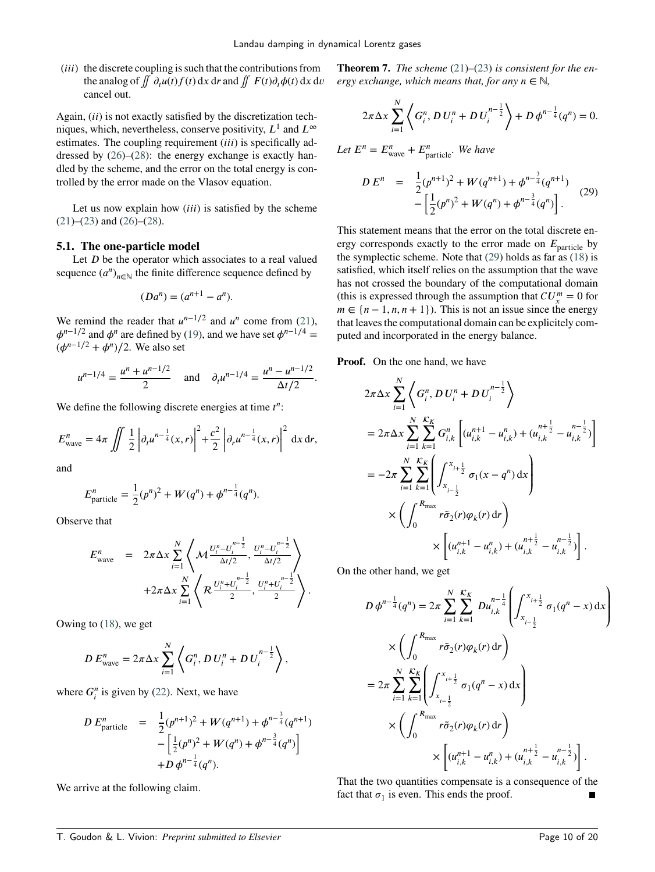(*iii*) the discrete coupling is such that the contributions from the analog of  $\iint d_t u(t) f(t) dx dr$  and  $\iint F(t) d_t \phi(t) dx dv$ cancel out.

Again, *(ii)* is not exactly satisfied by the discretization techniques, which, nevertheless, conserve positivity,  $L^1$  and  $L^\infty$ estimates. The coupling requirement *(iii)* is specifically addressed by [\(26\)](#page-7-0)–[\(28\)](#page-8-1): the energy exchange is exactly handled by the scheme, and the error on the total energy is controlled by the error made on the Vlasov equation.

Let us now explain how *(iii)* is satisfied by the scheme  $(21)$ – $(23)$  and  $(26)$ – $(28)$ .

#### **5.1. The one-particle model**

Let *D* be the operator which associates to a real valued sequence  $(a^n)_{n \in \mathbb{N}}$  the finite difference sequence defined by

$$
(Da^n) = (a^{n+1} - a^n).
$$

We remind the reader that  $u^{n-1/2}$  and  $u^n$  come from [\(21\)](#page-6-2),  $\phi^{n-1/2}$  and  $\phi^n$  are defined by [\(19\)](#page-5-1), and we have set  $\phi^{n-1/4}$  =  $(\phi^{n-1/2} + \phi^n)/2$ . We also set

$$
u^{n-1/4} = \frac{u^n + u^{n-1/2}}{2} \quad \text{and} \quad \partial_t u^{n-1/4} = \frac{u^n - u^{n-1/2}}{\Delta t/2}.
$$

We define the following discrete energies at time  $t^n$ :

$$
E_{\text{wave}}^{n} = 4\pi \iint \frac{1}{2} \left| \partial_{t} u^{n-\frac{1}{4}}(x,r) \right|^{2} + \frac{c^{2}}{2} \left| \partial_{r} u^{n-\frac{1}{4}}(x,r) \right|^{2} dx dr,
$$

and

$$
E_{\text{particle}}^{n} = \frac{1}{2}(p^{n})^{2} + W(q^{n}) + \phi^{n-\frac{1}{4}}(q^{n}).
$$

Observe that

$$
E_{\text{wave}}^{n} = 2\pi \Delta x \sum_{i=1}^{N} \left\langle \mathcal{M} \frac{U_{i}^{n} - U_{i}^{n-\frac{1}{2}}}{\Delta t/2}, \frac{U_{i}^{n} - U_{i}^{n-\frac{1}{2}}}{\Delta t/2} \right\rangle + 2\pi \Delta x \sum_{i=1}^{N} \left\langle \mathcal{R} \frac{U_{i}^{n} + U_{i}^{n-\frac{1}{2}}}{2}, \frac{U_{i}^{n} + U_{i}^{n-\frac{1}{2}}}{2} \right\rangle.
$$

Owing to [\(18\)](#page-5-3), we get

$$
D E_{\text{wave}}^{n} = 2\pi \Delta x \sum_{i=1}^{N} \left\langle G_{i}^{n}, D U_{i}^{n} + D U_{i}^{n-\frac{1}{2}} \right\rangle,
$$

where  $G_i^n$  is given by [\(22\)](#page-6-3). Next, we have

$$
DE_{\text{particle}}^{n} = \frac{1}{2}(p^{n+1})^{2} + W(q^{n+1}) + \phi^{n-\frac{3}{4}}(q^{n+1}) - \left[\frac{1}{2}(p^{n})^{2} + W(q^{n}) + \phi^{n-\frac{3}{4}}(q^{n})\right] + D \phi^{n-\frac{1}{4}}(q^{n}).
$$

We arrive at the following claim.

**Theorem 7.** *The scheme* [\(21\)](#page-6-2)*–*[\(23\)](#page-6-1) *is consistent for the energy exchange, which means that, for any*  $n \in \mathbb{N}$ ,

<span id="page-9-0"></span>
$$
2\pi \Delta x \sum_{i=1}^{N} \left\langle G_i^n, D U_i^n + D U_i^{n-\frac{1}{2}} \right\rangle + D \phi^{n-\frac{1}{4}}(q^n) = 0.
$$

Let 
$$
E^n = E_{\text{wave}}^n + E_{\text{particle}}^n
$$
. We have  
\n
$$
DE^n = \frac{1}{2} (p^{n+1})^2 + W(q^{n+1}) + \phi^{n-\frac{3}{4}} (q^{n+1}) - \left[ \frac{1}{2} (p^n)^2 + W(q^n) + \phi^{n-\frac{3}{4}} (q^n) \right].
$$
\n(29)

This statement means that the error on the total discrete energy corresponds exactly to the error made on  $E_{\text{particle}}$  by the symplectic scheme. Note that [\(29\)](#page-9-0) holds as far as [\(18\)](#page-5-3) is satisfied, which itself relies on the assumption that the wave has not crossed the boundary of the computational domain (this is expressed through the assumption that  $CU_x^m = 0$  for  $m \in \{n-1, n, n+1\}$ . This is not an issue since the energy that leaves the computational domain can be explicitely computed and incorporated in the energy balance.

**Proof.** On the one hand, we have

$$
2\pi \Delta x \sum_{i=1}^{N} \left\langle G_i^n, D U_i^n + D U_i^{n - \frac{1}{2}} \right\rangle
$$
  
=  $2\pi \Delta x \sum_{i=1}^{N} \sum_{k=1}^{K_E} G_{i,k}^n \left[ (u_{i,k}^{n+1} - u_{i,k}^n) + (u_{i,k}^{n + \frac{1}{2}} - u_{i,k}^{n - \frac{1}{2}}) \right]$   
=  $-2\pi \sum_{i=1}^{N} \sum_{k=1}^{K_E} \left( \int_{x_{i-\frac{1}{2}}}^{x_{i+\frac{1}{2}}} \sigma_1(x - q^n) dx \right)$   
 $\times \left( \int_0^{R_{\text{max}}} r \tilde{\sigma}_2(r) \varphi_k(r) dr \right)$   
 $\times \left[ (u_{i,k}^{n+1} - u_{i,k}^n) + (u_{i,k}^{n + \frac{1}{2}} - u_{i,k}^{n - \frac{1}{2}}) \right].$ 

On the other hand, we get

$$
D \phi^{n-\frac{1}{4}}(q^n) = 2\pi \sum_{i=1}^N \sum_{k=1}^{K_K} D u_{i,k}^{n-\frac{1}{4}} \left( \int_{x_{i-\frac{1}{2}}}^{x_{i+\frac{1}{2}}} \sigma_1(q^n - x) dx \right)
$$
  

$$
\times \left( \int_0^{R_{\max}} r \tilde{\sigma}_2(r) \varphi_k(r) dr \right)
$$
  

$$
= 2\pi \sum_{i=1}^N \sum_{k=1}^{K_K} \left( \int_{x_{i-\frac{1}{2}}}^{x_{i+\frac{1}{2}}} \sigma_1(q^n - x) dx \right)
$$
  

$$
\times \left( \int_0^{R_{\max}} r \tilde{\sigma}_2(r) \varphi_k(r) dr \right)
$$
  

$$
\times \left[ (u_{i,k}^{n+1} - u_{i,k}^n) + (u_{i,k}^{n+\frac{1}{2}} - u_{i,k}^{n-\frac{1}{2}}) \right].
$$

That the two quantities compensate is a consequence of the fact that  $\sigma_1$  is even. This ends the proof.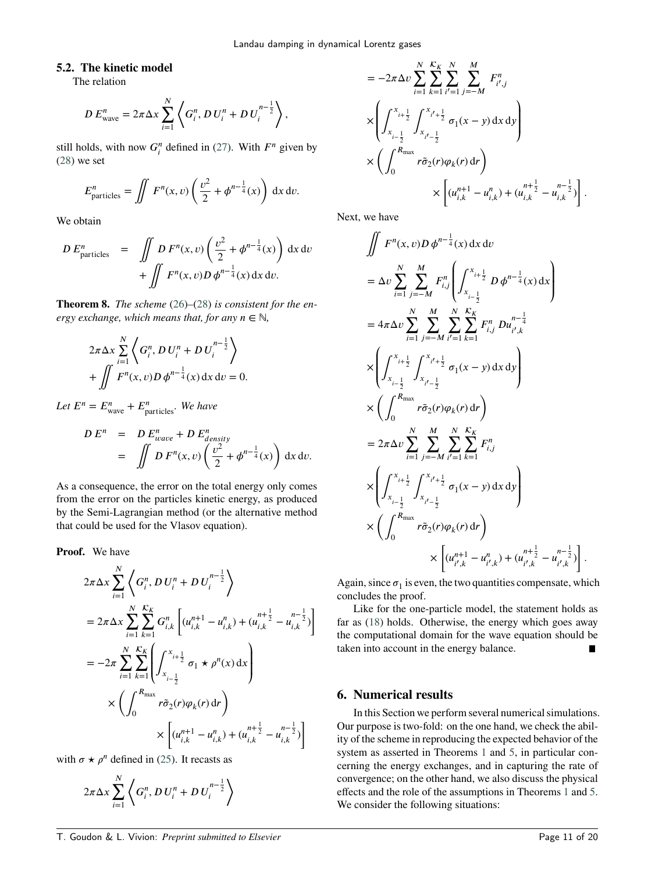# **5.2. The kinetic model**

The relation

$$
D E_{\text{wave}}^{n} = 2\pi \Delta x \sum_{i=1}^{N} \left\langle G_{i}^{n}, D U_{i}^{n} + D U_{i}^{n-\frac{1}{2}} \right\rangle,
$$

still holds, with now  $G_i^n$  defined in [\(27\)](#page-7-1). With  $F^n$  given by [\(28\)](#page-8-1) we set

$$
E_{\text{particles}}^{n} = \iint F^{n}(x, v) \left( \frac{v^{2}}{2} + \phi^{n - \frac{1}{4}}(x) \right) dx dv.
$$

We obtain

$$
DE_{\text{particles}}^{n} = \iint D F^{n}(x, v) \left( \frac{v^{2}}{2} + \phi^{n - \frac{1}{4}}(x) \right) dx dv
$$

$$
+ \iint F^{n}(x, v) D \phi^{n - \frac{1}{4}}(x) dx dv.
$$

**Theorem 8.** *The scheme* [\(26\)](#page-7-0)*–*[\(28\)](#page-8-1) *is consistent for the energy exchange, which means that, for any*  $n \in \mathbb{N}$ ,

$$
2\pi \Delta x \sum_{i=1}^{N} \left\langle G_i^n, D U_i^n + D U_i^{n-\frac{1}{2}} \right\rangle
$$
  
+ 
$$
\iint F^n(x, v) D \phi^{n-\frac{1}{4}}(x) dx dv = 0.
$$

Let  $E^n = E^n_{\text{wave}} + E^n_{\text{particles}}$ . We have

$$
DEn = DEwaven + DEdensityn
$$
  
= 
$$
\iint DFn(x, v) \left( \frac{v^2}{2} + \phi^{n-\frac{1}{4}}(x) \right) dx dv.
$$

As a consequence, the error on the total energy only comes from the error on the particles kinetic energy, as produced by the Semi-Lagrangian method (or the alternative method that could be used for the Vlasov equation).

**Proof.** We have

$$
2\pi \Delta x \sum_{i=1}^{N} \left\langle G_i^n, D U_i^n + D U_i^{n - \frac{1}{2}} \right\rangle
$$
  
=  $2\pi \Delta x \sum_{i=1}^{N} \sum_{k=1}^{K_K} G_{i,k}^n \left[ (u_{i,k}^{n+1} - u_{i,k}^n) + (u_{i,k}^{n+\frac{1}{2}} - u_{i,k}^{n-\frac{1}{2}}) \right]$   
=  $-2\pi \sum_{i=1}^{N} \sum_{k=1}^{K_K} \left( \int_{x_{i-\frac{1}{2}}}^{x_{i+\frac{1}{2}}} \sigma_1 \star \rho^n(x) dx \right)$   
 $\times \left( \int_0^{R_{\text{max}}} r \tilde{\sigma}_2(r) \varphi_k(r) dr \right)$   
 $\times \left[ (u_{i,k}^{n+1} - u_{i,k}^n) + (u_{i,k}^{n+\frac{1}{2}} - u_{i,k}^{n-\frac{1}{2}}) \right]$ 

with  $\sigma \star \rho^n$  defined in [\(25\)](#page-7-2). It recasts as

$$
2\pi\Delta x\sum_{i=1}^N\left\langle G_i^n,D\,U_i^n+D\,U_i^{n-\frac{1}{2}}\right\rangle
$$

$$
= -2\pi \Delta v \sum_{i=1}^{N} \sum_{k=1}^{K_{K}} \sum_{i'=1}^{N} \sum_{j=-M}^{M} F_{i',j}^{n}
$$
  
\n
$$
\times \left( \int_{x_{i-\frac{1}{2}}}^{x_{i+\frac{1}{2}}} \int_{x_{i'-\frac{1}{2}}}^{x_{i'+\frac{1}{2}}} \sigma_1(x-y) dx dy \right)
$$
  
\n
$$
\times \left( \int_{0}^{R_{\text{max}}} r \tilde{\sigma}_2(r) \varphi_k(r) dr \right)
$$
  
\n
$$
\times \left[ (u_{i,k}^{n+1} - u_{i,k}^n) + (u_{i,k}^{n+\frac{1}{2}} - u_{i,k}^{n-\frac{1}{2}}) \right].
$$

Next, we have

$$
\iint F^{n}(x, v)D \phi^{n-\frac{1}{4}}(x) dx dv
$$
  
\n
$$
= \Delta v \sum_{i=1}^{N} \sum_{j=-M}^{M} F^{n}_{i,j} \left( \int_{x_{i-\frac{1}{2}}}^{x_{i+\frac{1}{2}}} D \phi^{n-\frac{1}{4}}(x) dx \right)
$$
  
\n
$$
= 4\pi \Delta v \sum_{i=1}^{N} \sum_{j=-M}^{M} \sum_{i'=1}^{N} \sum_{k=1}^{K_{k}} F^{n}_{i,j} Du^{n-\frac{1}{4}}_{i',k}
$$
  
\n
$$
\times \left( \int_{x_{i-\frac{1}{2}}}^{x_{i+\frac{1}{2}}} \int_{x_{i'-\frac{1}{2}}}^{x_{i'+\frac{1}{2}}} \sigma_1(x-y) dx dy \right)
$$
  
\n
$$
\times \left( \int_{0}^{R_{\text{max}}} r \tilde{\sigma}_2(r) \varphi_k(r) dr \right)
$$
  
\n
$$
= 2\pi \Delta v \sum_{i=1}^{N} \sum_{j=-M}^{M} \sum_{i'=1}^{N} \sum_{k=1}^{K_{k}} F^{n}_{i,j}
$$
  
\n
$$
\times \left( \int_{x_{i-\frac{1}{2}}}^{x_{i+\frac{1}{2}}} \int_{x_{i'-\frac{1}{2}}}^{x_{i'+\frac{1}{2}}} \sigma_1(x-y) dx dy \right)
$$
  
\n
$$
\times \left( \int_{0}^{R_{\text{max}}} r \tilde{\sigma}_2(r) \varphi_k(r) dr \right)
$$
  
\n
$$
\times \left[ (u_{i',k}^{n+1} - u_{i',k}^{n}) + (u_{i',k}^{n+\frac{1}{2}} - u_{i',k}^{n-\frac{1}{2}}) \right]
$$

Again, since  $\sigma_1$  is even, the two quantities compensate, which concludes the proof.

Like for the one-particle model, the statement holds as far as [\(18\)](#page-5-3) holds. Otherwise, the energy which goes away the computational domain for the wave equation should be taken into account in the energy balance.  $\blacksquare$ 

# <span id="page-10-0"></span>**6. Numerical results**

In this Section we perform several numerical simulations. Our purpose is two-fold: on the one hand, we check the ability of the scheme in reproducing the expected behavior of the system as asserted in Theorems [1](#page-1-3) and [5,](#page-2-4) in particular concerning the energy exchanges, and in capturing the rate of convergence; on the other hand, we also discuss the physical effects and the role of the assumptions in Theorems [1](#page-1-3) and [5.](#page-2-4) We consider the following situations:

*.*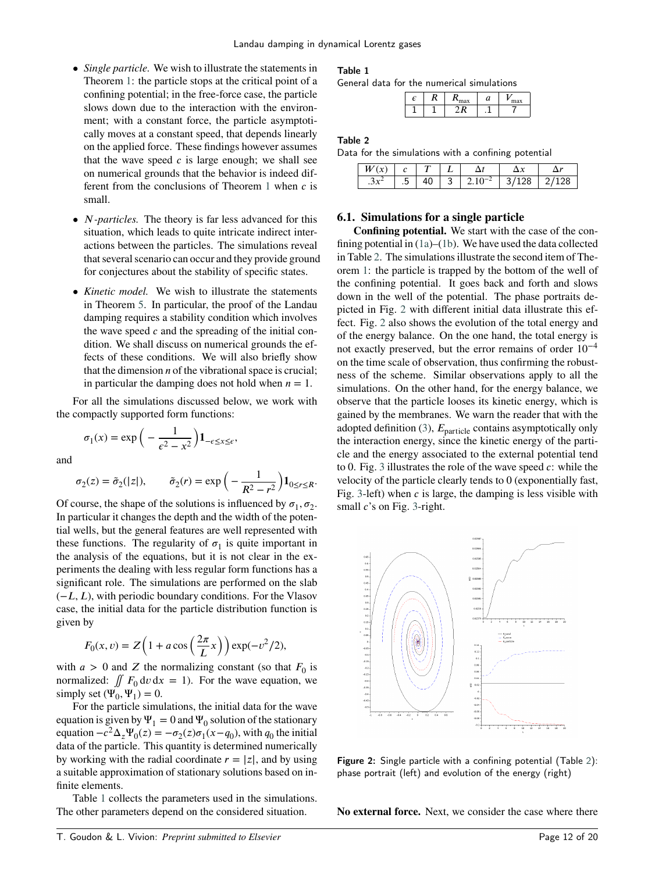- *Single particle.* We wish to illustrate the statements in Theorem [1:](#page-1-3) the particle stops at the critical point of a confining potential; in the free-force case, the particle slows down due to the interaction with the environment; with a constant force, the particle asymptotically moves at a constant speed, that depends linearly on the applied force. These findings however assumes that the wave speed  $c$  is large enough; we shall see on numerical grounds that the behavior is indeed different from the conclusions of Theorem  $1$  when  $c$  is small.
- *N*-particles. The theory is far less advanced for this situation, which leads to quite intricate indirect interactions between the particles. The simulations reveal that several scenario can occur and they provide ground for conjectures about the stability of specific states.
- *Kinetic model.* We wish to illustrate the statements in Theorem [5.](#page-2-4) In particular, the proof of the Landau damping requires a stability condition which involves the wave speed *c* and the spreading of the initial condition. We shall discuss on numerical grounds the effects of these conditions. We will also briefly show that the dimension *n* of the vibrational space is crucial; in particular the damping does not hold when  $n = 1$ .

For all the simulations discussed below, we work with the compactly supported form functions:

> $\sigma_1(x) = \exp\left(-\frac{1}{a^2}\right)$  $\epsilon^2 - x^2$  $\overline{ }$  $1_{-\epsilon \leq x \leq \epsilon}$ ,

and

$$
\sigma_2(z) = \tilde{\sigma}_2(|z|), \qquad \tilde{\sigma}_2(r) = \exp\left(-\frac{1}{R^2 - r^2}\right) \mathbf{1}_{0 \le r \le R}.
$$

Of course, the shape of the solutions is influenced by  $\sigma_1, \sigma_2$ . In particular it changes the depth and the width of the potential wells, but the general features are well represented with these functions. The regularity of  $\sigma_1$  is quite important in the analysis of the equations, but it is not clear in the experiments the dealing with less regular form functions has a significant role. The simulations are performed on the slab (−*𝐿, 𝐿*), with periodic boundary conditions. For the Vlasov case, the initial data for the particle distribution function is given by

$$
F_0(x, v) = Z\left(1 + a\cos\left(\frac{2\pi}{L}x\right)\right) \exp(-v^2/2),
$$

with  $a > 0$  and  $Z$  the normalizing constant (so that  $F_0$  is normalized:  $\iint F_0 \, dv \, dx = 1$ ). For the wave equation, we simply set  $(\Psi_0, \Psi_1) = 0$ .

For the particle simulations, the initial data for the wave equation is given by  $\Psi_1 = 0$  and  $\Psi_0$  solution of the stationary equation  $-c^2\Delta_z\Psi_0(z) = -\sigma_2(z)\sigma_1(x-q_0)$ , with  $q_0$  the initial data of the particle. This quantity is determined numerically by working with the radial coordinate  $r = |z|$ , and by using a suitable approximation of stationary solutions based on infinite elements.

Table [1](#page-11-0) collects the parameters used in the simulations. The other parameters depend on the considered situation.

## <span id="page-11-0"></span>Table 1

General data for the numerical simulations

| E | - - | max |     | max |
|---|-----|-----|-----|-----|
| - | -   |     | . – |     |

#### <span id="page-11-1"></span>Table 2

Data for the simulations with a confining potential

|  |     |  |  | $\sim$ |
|--|-----|--|--|--------|
|  | . . |  |  |        |

#### **6.1. Simulations for a single particle**

**Confining potential.** We start with the case of the confining potential in [\(1a\)](#page-0-1)–[\(1b\)](#page-0-2). We have used the data collected in Table [2.](#page-11-1) The simulations illustrate the second item of Theorem [1:](#page-1-3) the particle is trapped by the bottom of the well of the confining potential. It goes back and forth and slows down in the well of the potential. The phase portraits depicted in Fig. [2](#page-11-2) with different initial data illustrate this effect. Fig. [2](#page-11-2) also shows the evolution of the total energy and of the energy balance. On the one hand, the total energy is not exactly preserved, but the error remains of order 10−4 on the time scale of observation, thus confirming the robustness of the scheme. Similar observations apply to all the simulations. On the other hand, for the energy balance, we observe that the particle looses its kinetic energy, which is gained by the membranes. We warn the reader that with the adopted definition  $(3)$ ,  $E_{\text{particle}}$  contains asymptotically only the interaction energy, since the kinetic energy of the particle and the energy associated to the external potential tend to 0. Fig. [3](#page-12-0) illustrates the role of the wave speed *c*: while the velocity of the particle clearly tends to 0 (exponentially fast, Fig. [3-](#page-12-0)left) when *c* is large, the damping is less visible with small *c*'s on Fig. [3-](#page-12-0)right.

<span id="page-11-2"></span>

Figure 2: Single particle with a confining potential (Table [2\)](#page-11-1): phase portrait (left) and evolution of the energy (right)

**No external force.** Next, we consider the case where there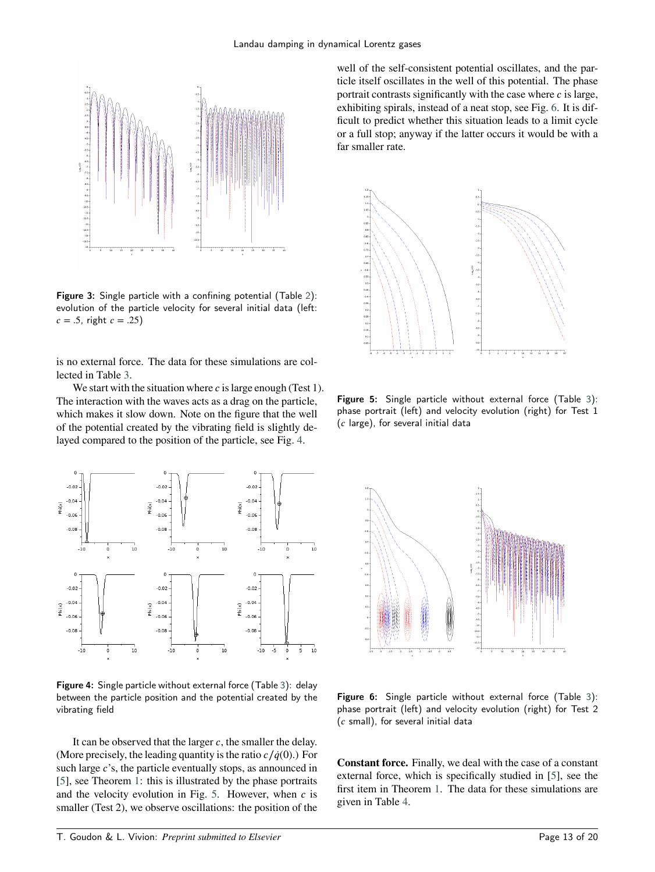<span id="page-12-0"></span>

Figure 3: Single particle with a confining potential (Table [2\)](#page-11-1): evolution of the particle velocity for several initial data (left:  $c = .5$ , right  $c = .25$ )

is no external force. The data for these simulations are collected in Table [3.](#page-13-0)

We start with the situation where *c* is large enough (Test 1). The interaction with the waves acts as a drag on the particle, which makes it slow down. Note on the figure that the well of the potential created by the vibrating field is slightly delayed compared to the position of the particle, see Fig. [4.](#page-12-1)

<span id="page-12-1"></span>

Figure 4: Single particle without external force (Table [3\)](#page-13-0): delay between the particle position and the potential created by the vibrating field

It can be observed that the larger *c*, the smaller the delay. (More precisely, the leading quantity is the ratio  $c / \dot{q}(0)$ .) For such large *c*'s, the particle eventually stops, as announced in [\[5\]](#page-19-0), see Theorem [1:](#page-1-3) this is illustrated by the phase portraits and the velocity evolution in Fig.  $5$ . However, when  $c$  is smaller (Test 2), we observe oscillations: the position of the

well of the self-consistent potential oscillates, and the particle itself oscillates in the well of this potential. The phase portrait contrasts significantly with the case where  $c$  is large, exhibiting spirals, instead of a neat stop, see Fig. [6.](#page-12-3) It is difficult to predict whether this situation leads to a limit cycle or a full stop; anyway if the latter occurs it would be with a far smaller rate.

<span id="page-12-2"></span>

Figure 5: Single particle without external force (Table [3\)](#page-13-0): phase portrait (left) and velocity evolution (right) for Test 1 (*𝑐* large), for several initial data

<span id="page-12-3"></span>

Figure 6: Single particle without external force (Table [3\)](#page-13-0): phase portrait (left) and velocity evolution (right) for Test 2 (*𝑐* small), for several initial data

**Constant force.** Finally, we deal with the case of a constant external force, which is specifically studied in [\[5\]](#page-19-0), see the first item in Theorem [1.](#page-1-3) The data for these simulations are given in Table [4.](#page-13-1)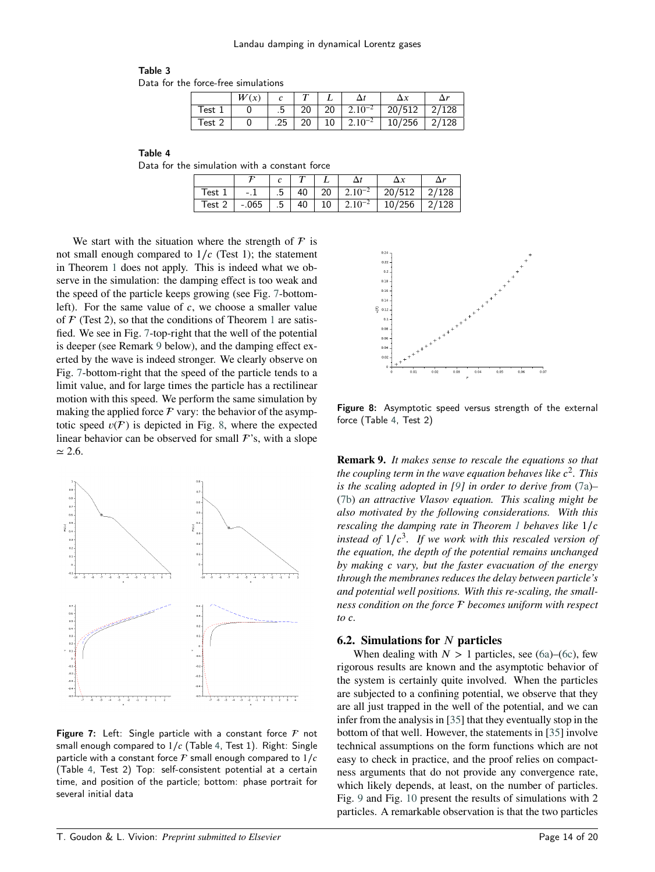# <span id="page-13-0"></span>Table 3

Data for the force-free simulations

|                   | W(x) |     | $\overline{ }$ |           |                   | $\Delta x$ | $\Delta r$ |
|-------------------|------|-----|----------------|-----------|-------------------|------------|------------|
| Test <sub>1</sub> |      | .5  | 20             | <b>20</b> | $\pm 2.10^{-2}$ . | 20/512     | 2/128      |
| Test 2            |      | .25 | 20             | 10        | $2.10^{-2}$       | 10/256     | 2/128      |

<span id="page-13-1"></span>Table 4

Data for the simulation with a constant force

| est  | $-.1$   | $\overline{\phantom{0}}$ .5 | 40   20 | $1.2.10^{-2}$ | 20/512 |  |
|------|---------|-----------------------------|---------|---------------|--------|--|
| Test | $-.065$ | .5                          | 40   10 | $2.10^{-2}$   |        |  |

We start with the situation where the strength of  $\mathcal F$  is not small enough compared to 1/*c* (Test 1); the statement in Theorem [1](#page-1-3) does not apply. This is indeed what we observe in the simulation: the damping effect is too weak and the speed of the particle keeps growing (see Fig. [7-](#page-13-2)bottomleft). For the same value of *c*, we choose a smaller value of  $F$  (Test 2), so that the conditions of Theorem [1](#page-1-3) are satisfied. We see in Fig. [7-](#page-13-2)top-right that the well of the potential is deeper (see Remark [9](#page-13-3) below), and the damping effect exerted by the wave is indeed stronger. We clearly observe on Fig. [7-](#page-13-2)bottom-right that the speed of the particle tends to a limit value, and for large times the particle has a rectilinear motion with this speed. We perform the same simulation by making the applied force  $\mathcal F$  vary: the behavior of the asymptotic speed  $v(\mathcal{F})$  is depicted in Fig. [8,](#page-13-4) where the expected linear behavior can be observed for small  $\mathcal{F}$ 's, with a slope ≃ 2*.*6.

<span id="page-13-2"></span>

<span id="page-13-3"></span>Figure 7: Left: Single particle with a constant force  $F$  not small enough compared to 1∕*𝑐* (Table [4,](#page-13-1) Test 1). Right: Single particle with a constant force  $\mathcal F$  small enough compared to  $1/c$ (Table [4,](#page-13-1) Test 2) Top: self-consistent potential at a certain time, and position of the particle; bottom: phase portrait for several initial data

<span id="page-13-4"></span>

Figure 8: Asymptotic speed versus strength of the external force (Table [4,](#page-13-1) Test 2)

**Remark 9.** *It makes sense to rescale the equations so that the coupling term in the wave equation behaves like*  $c^2$ *. This is the scaling adopted in [\[9\]](#page-19-13) in order to derive from* [\(7a\)](#page-2-0)*–* [\(7b\)](#page-2-1) *an attractive Vlasov equation. This scaling might be also motivated by the following considerations. With this rescaling the damping rate in Theorem [1](#page-1-3) behaves like*  $1/c$ *instead of*  $1/c<sup>3</sup>$ *. If we work with this rescaled version of the equation, the depth of the potential remains unchanged by making 𝑐 vary, but the faster evacuation of the energy through the membranes reduces the delay between particle's and potential well positions. With this re-scaling, the smallness condition on the force becomes uniform with respect to*  $c$ *.* 

#### **6.2. Simulations for** *𝑁* **particles**

When dealing with  $N > 1$  particles, see [\(6a\)](#page-1-1)–[\(6c\)](#page-1-2), few rigorous results are known and the asymptotic behavior of the system is certainly quite involved. When the particles are subjected to a confining potential, we observe that they are all just trapped in the well of the potential, and we can infer from the analysis in [\[35\]](#page-19-14) that they eventually stop in the bottom of that well. However, the statements in [\[35\]](#page-19-14) involve technical assumptions on the form functions which are not easy to check in practice, and the proof relies on compactness arguments that do not provide any convergence rate, which likely depends, at least, on the number of particles. Fig. [9](#page-14-0) and Fig. [10](#page-14-1) present the results of simulations with 2 particles. A remarkable observation is that the two particles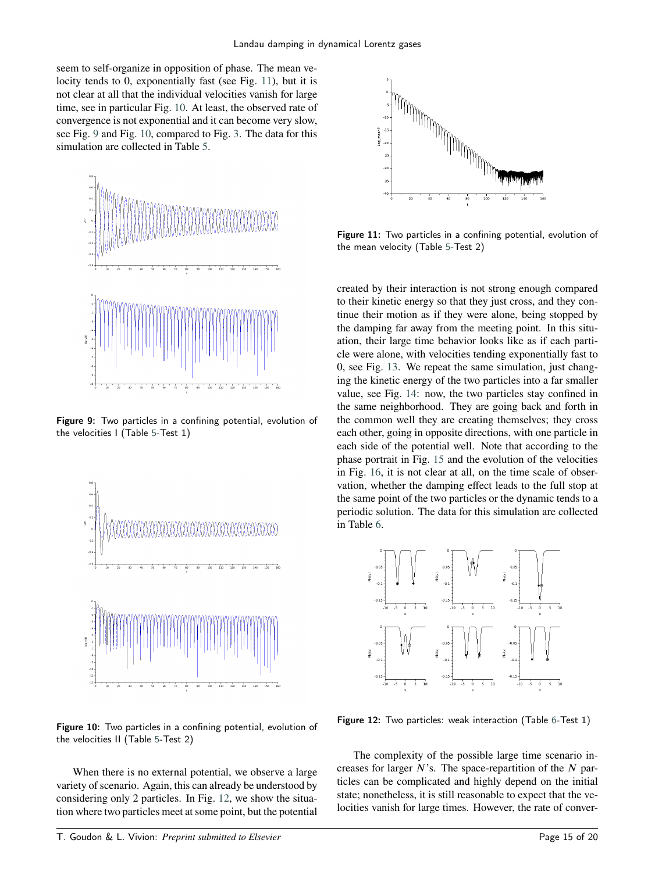seem to self-organize in opposition of phase. The mean velocity tends to 0, exponentially fast (see Fig. [11\)](#page-14-2), but it is not clear at all that the individual velocities vanish for large time, see in particular Fig. [10.](#page-14-1) At least, the observed rate of convergence is not exponential and it can become very slow, see Fig. [9](#page-14-0) and Fig. [10,](#page-14-1) compared to Fig. [3.](#page-12-0) The data for this simulation are collected in Table [5.](#page-15-0)

<span id="page-14-0"></span>

Figure 9: Two particles in a confining potential, evolution of the velocities I (Table [5-](#page-15-0)Test 1)

<span id="page-14-1"></span>

Figure 10: Two particles in a confining potential, evolution of the velocities II (Table [5-](#page-15-0)Test 2)

When there is no external potential, we observe a large variety of scenario. Again, this can already be understood by considering only 2 particles. In Fig. [12,](#page-14-3) we show the situation where two particles meet at some point, but the potential

<span id="page-14-2"></span>

Figure 11: Two particles in a confining potential, evolution of the mean velocity (Table [5-](#page-15-0)Test 2)

created by their interaction is not strong enough compared to their kinetic energy so that they just cross, and they continue their motion as if they were alone, being stopped by the damping far away from the meeting point. In this situation, their large time behavior looks like as if each particle were alone, with velocities tending exponentially fast to 0, see Fig. [13.](#page-15-1) We repeat the same simulation, just changing the kinetic energy of the two particles into a far smaller value, see Fig. [14:](#page-15-2) now, the two particles stay confined in the same neighborhood. They are going back and forth in the common well they are creating themselves; they cross each other, going in opposite directions, with one particle in each side of the potential well. Note that according to the phase portrait in Fig. [15](#page-15-3) and the evolution of the velocities in Fig. [16,](#page-16-0) it is not clear at all, on the time scale of observation, whether the damping effect leads to the full stop at the same point of the two particles or the dynamic tends to a periodic solution. The data for this simulation are collected in Table [6.](#page-15-4)

<span id="page-14-3"></span>

Figure 12: Two particles: weak interaction (Table [6-](#page-15-4)Test 1)

The complexity of the possible large time scenario increases for larger  $N$ 's. The space-repartition of the  $N$  particles can be complicated and highly depend on the initial state; nonetheless, it is still reasonable to expect that the velocities vanish for large times. However, the rate of conver-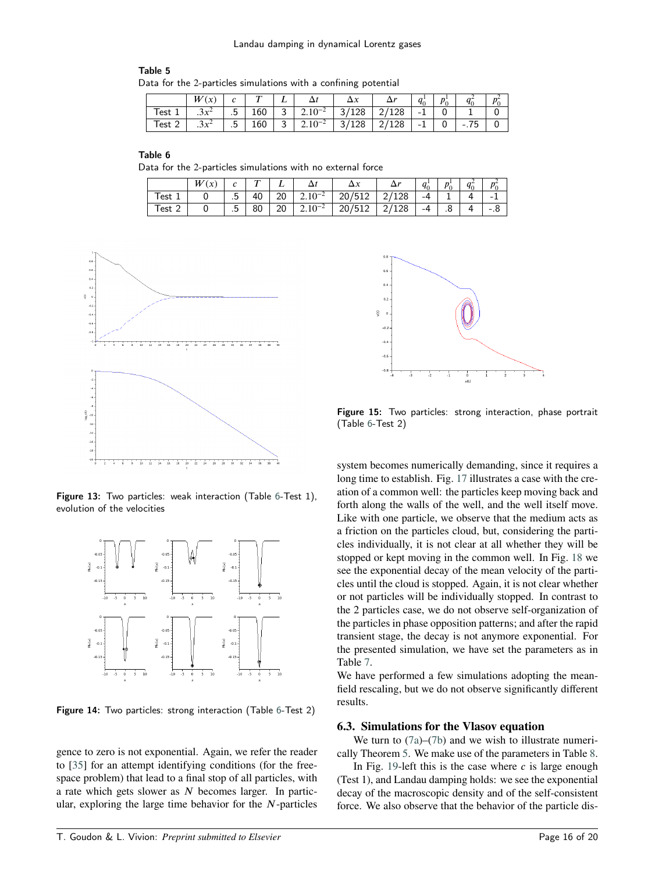<span id="page-15-0"></span>

| Table 5                                                         |  |
|-----------------------------------------------------------------|--|
| Data for the 2-particles simulations with a confining potential |  |

|     | w                             | $\lambda$ |     |             |                 |           |       | $\alpha$                 | n <sup>1</sup> |        | n |
|-----|-------------------------------|-----------|-----|-------------|-----------------|-----------|-------|--------------------------|----------------|--------|---|
| est | $2r^2$<br>$\cdot$ ) $\lambda$ | г.<br>    | 160 | $\sqrt{2}$  | $\pm 2.10^{-2}$ | 128<br>ັ  | '128  | - 1                      |                |        |   |
| est | $2x^2$<br>$\cdot$ JA          | Б<br>     | 160 | $\sim$<br>◡ | $2.10^{-2}$     | 128<br>3/ | 2/128 | $\mathbf{1}$<br>- 1<br>÷ |                | $-.75$ |   |

<span id="page-15-4"></span>

| Table 6                                                     |  |  |  |
|-------------------------------------------------------------|--|--|--|
| Data for the 2-particles simulations with no external force |  |  |  |

|           | п<br>$\boldsymbol{\chi}$ | ◠         | $\mathbf{r}$ |          |                  |                                  | - 14 | $\overline{\phantom{a}}$<br>Ч٥ | n <sup>1</sup> | -- |    |
|-----------|--------------------------|-----------|--------------|----------|------------------|----------------------------------|------|--------------------------------|----------------|----|----|
| ı est     |                          | -<br>.5   | 40<br>π      | ററ<br>zu | $2.10^{-2}$      | . — н<br>512'<br>20 <sub>I</sub> | 128  | -4                             | -              |    | -  |
| Test<br>- |                          | 'n<br>. ب | 80           | 20       | $\angle 10^{-7}$ | n<br>207<br>ے⊥ت                  | 128  | -4                             | ۰.             |    | .٠ |

<span id="page-15-1"></span>

Figure 13: Two particles: weak interaction (Table [6-](#page-15-4)Test 1), evolution of the velocities

<span id="page-15-2"></span>

Figure 14: Two particles: strong interaction (Table [6-](#page-15-4)Test 2)

gence to zero is not exponential. Again, we refer the reader to [\[35\]](#page-19-14) for an attempt identifying conditions (for the freespace problem) that lead to a final stop of all particles, with a rate which gets slower as *N* becomes larger. In particular, exploring the large time behavior for the *N*-particles

<span id="page-15-3"></span>

Figure 15: Two particles: strong interaction, phase portrait (Table [6-](#page-15-4)Test 2)

system becomes numerically demanding, since it requires a long time to establish. Fig. [17](#page-16-1) illustrates a case with the creation of a common well: the particles keep moving back and forth along the walls of the well, and the well itself move. Like with one particle, we observe that the medium acts as a friction on the particles cloud, but, considering the particles individually, it is not clear at all whether they will be stopped or kept moving in the common well. In Fig. [18](#page-16-2) we see the exponential decay of the mean velocity of the particles until the cloud is stopped. Again, it is not clear whether or not particles will be individually stopped. In contrast to the 2 particles case, we do not observe self-organization of the particles in phase opposition patterns; and after the rapid transient stage, the decay is not anymore exponential. For the presented simulation, we have set the parameters as in Table [7.](#page-16-3)

We have performed a few simulations adopting the meanfield rescaling, but we do not observe significantly different results.

#### **6.3. Simulations for the Vlasov equation**

We turn to  $(7a)$ – $(7b)$  and we wish to illustrate numerically Theorem [5.](#page-2-4) We make use of the parameters in Table [8.](#page-17-0)

In Fig. [19-](#page-17-1)left this is the case where  $c$  is large enough (Test 1), and Landau damping holds: we see the exponential decay of the macroscopic density and of the self-consistent force. We also observe that the behavior of the particle dis-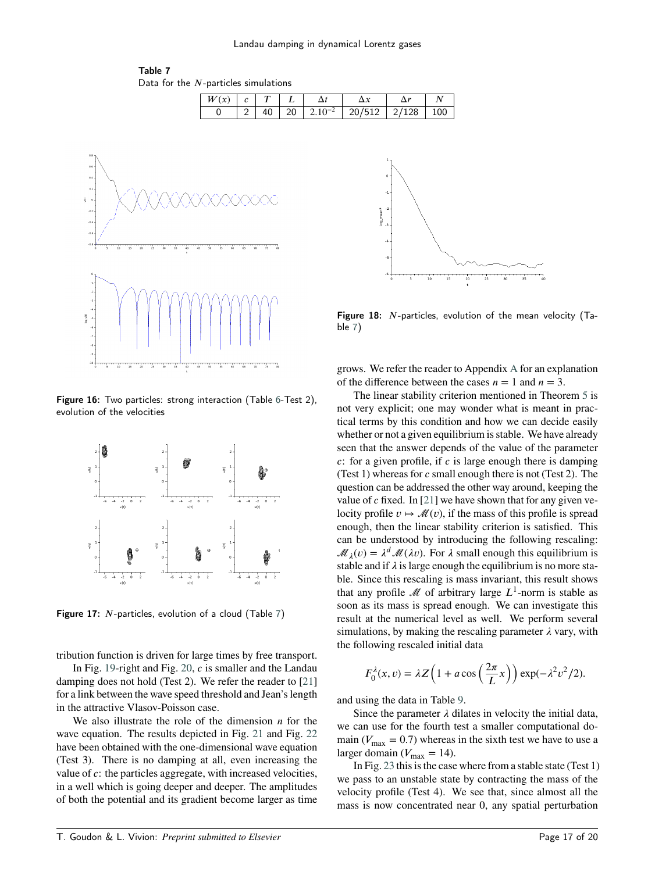<span id="page-16-3"></span>

| $W(x)$ $c$ $T$ $L$ |  |  |                                                                    |  |
|--------------------|--|--|--------------------------------------------------------------------|--|
|                    |  |  | $2 \mid 40 \mid 20 \mid 2.10^{-2} \mid 20/512 \mid 2/128 \mid 100$ |  |

<span id="page-16-0"></span>

Figure 16: Two particles: strong interaction (Table [6-](#page-15-4)Test 2), evolution of the velocities

<span id="page-16-1"></span>

Figure 17: *N*-particles, evolution of a cloud (Table [7\)](#page-16-3)

tribution function is driven for large times by free transport.

In Fig. [19-](#page-17-1)right and Fig. [20,](#page-17-2) *c* is smaller and the Landau damping does not hold (Test 2). We refer the reader to [\[21\]](#page-19-12) for a link between the wave speed threshold and Jean's length in the attractive Vlasov-Poisson case.

We also illustrate the role of the dimension  $n$  for the wave equation. The results depicted in Fig. [21](#page-17-3) and Fig. [22](#page-18-1) have been obtained with the one-dimensional wave equation (Test 3). There is no damping at all, even increasing the value of *c*: the particles aggregate, with increased velocities, in a well which is going deeper and deeper. The amplitudes of both the potential and its gradient become larger as time

<span id="page-16-2"></span>

Figure 18: *N*-particles, evolution of the mean velocity (Table [7\)](#page-16-3)

grows. We refer the reader to Appendix [A](#page-18-2) for an explanation of the difference between the cases  $n = 1$  and  $n = 3$ .

The linear stability criterion mentioned in Theorem [5](#page-2-4) is not very explicit; one may wonder what is meant in practical terms by this condition and how we can decide easily whether or not a given equilibrium is stable. We have already seen that the answer depends of the value of the parameter *c*: for a given profile, if *c* is large enough there is damping (Test 1) whereas for *c* small enough there is not (Test 2). The question can be addressed the other way around, keeping the value of *c* fixed. In [\[21\]](#page-19-12) we have shown that for any given velocity profile  $v \mapsto \mathcal{M}(v)$ , if the mass of this profile is spread enough, then the linear stability criterion is satisfied. This can be understood by introducing the following rescaling:  $\mathcal{M}_{\lambda}(v) = \lambda^d \mathcal{M}(\lambda v)$ . For  $\lambda$  small enough this equilibrium is stable and if  $\lambda$  is large enough the equilibrium is no more stable. Since this rescaling is mass invariant, this result shows that any profile  $\mathcal M$  of arbitrary large  $L^1$ -norm is stable as soon as its mass is spread enough. We can investigate this result at the numerical level as well. We perform several simulations, by making the rescaling parameter  $\lambda$  vary, with the following rescaled initial data

$$
F_0^{\lambda}(x,v) = \lambda Z\left(1 + a\cos\left(\frac{2\pi}{L}x\right)\right) \exp(-\lambda^2 v^2/2).
$$

and using the data in Table [9.](#page-17-4)

Since the parameter  $\lambda$  dilates in velocity the initial data, we can use for the fourth test a smaller computational domain ( $V_{\text{max}} = 0.7$ ) whereas in the sixth test we have to use a larger domain ( $V_{\text{max}} = 14$ ).

In Fig. [23](#page-18-3) this is the case where from a stable state (Test 1) we pass to an unstable state by contracting the mass of the velocity profile (Test 4). We see that, since almost all the mass is now concentrated near 0, any spatial perturbation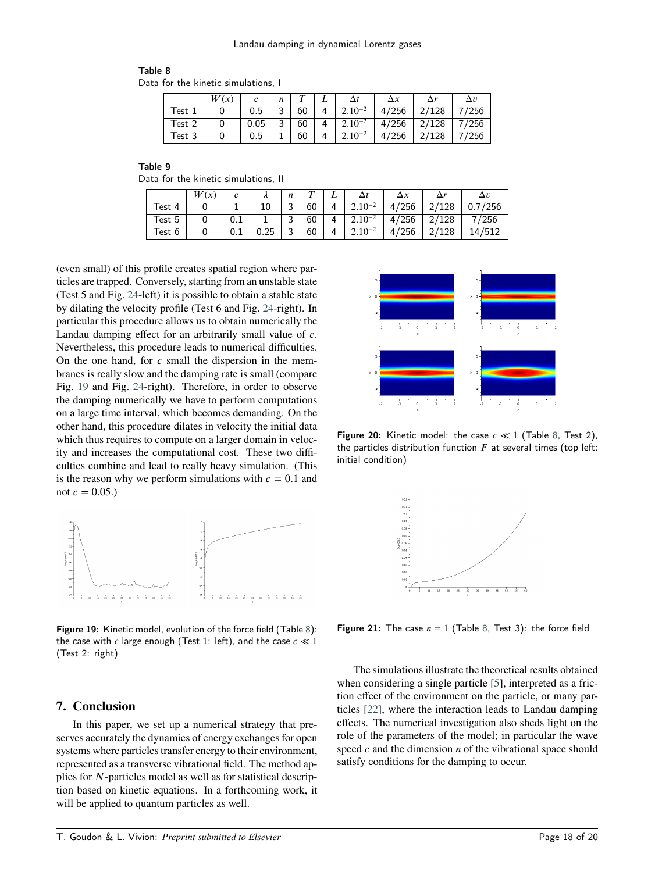# <span id="page-17-0"></span>Table 8

Data for the kinetic simulations, I

|        | W(x) |      | n      |    |   |             | $\Delta x$ |       | $\Delta v$ |
|--------|------|------|--------|----|---|-------------|------------|-------|------------|
| Test   |      | 0.5  | っ<br>J | 60 |   | $2.10^{-2}$ | 4/256      | 2/128 | '256       |
| Test 2 |      | 0.05 | 0<br>ر | 60 | Δ | $2.10^{-2}$ | 4/256      | 2/128 | 7/256      |
| Test 3 |      | 0.5  |        | 60 |   | $2.10^{-2}$ | 256<br>47  | 2/128 | '256       |

<span id="page-17-4"></span>

| Table 9                              |  |
|--------------------------------------|--|
| Data for the kinetic simulations. II |  |

|        | W (<br>$\alpha$ |          |            | n           | $\mathbf \tau$ |   |             | ΛY        |                | $\Delta v$  |
|--------|-----------------|----------|------------|-------------|----------------|---|-------------|-----------|----------------|-------------|
| Test 4 |                 |          | 10         | っ<br>ັ      | 60             | 4 | $2.10^{-2}$ | ′256<br>4 | 2/128          | /256<br>0.7 |
| Test 5 |                 | $_{0.1}$ |            | ີ<br>ٮ      | 60             | 4 | $2.10^{-2}$ | 4/256     | 2/128          | /256        |
| Test 6 |                 | $_{0.1}$ | つに<br>∪.∠J | $\sim$<br>ັ | 60             | 4 | $2.10^{-2}$ | 256<br>4  | $\sim$<br>'128 |             |

(even small) of this profile creates spatial region where particles are trapped. Conversely, starting from an unstable state (Test 5 and Fig. [24-](#page-18-4)left) it is possible to obtain a stable state by dilating the velocity profile (Test 6 and Fig. [24-](#page-18-4)right). In particular this procedure allows us to obtain numerically the Landau damping effect for an arbitrarily small value of *c*. Nevertheless, this procedure leads to numerical difficulties. On the one hand, for *c* small the dispersion in the membranes is really slow and the damping rate is small (compare Fig. [19](#page-17-1) and Fig. [24-](#page-18-4)right). Therefore, in order to observe the damping numerically we have to perform computations on a large time interval, which becomes demanding. On the other hand, this procedure dilates in velocity the initial data which thus requires to compute on a larger domain in velocity and increases the computational cost. These two difficulties combine and lead to really heavy simulation. (This is the reason why we perform simulations with  $c = 0.1$  and not  $c = 0.05$ .)

<span id="page-17-1"></span>

Figure 19: Kinetic model, evolution of the force field (Table [8\)](#page-17-0): the case with *𝑐* large enough (Test 1: left), and the case *𝑐 ≪* 1 (Test 2: right)

# **7. Conclusion**

In this paper, we set up a numerical strategy that preserves accurately the dynamics of energy exchanges for open systems where particles transfer energy to their environment, represented as a transverse vibrational field. The method applies for *N*-particles model as well as for statistical description based on kinetic equations. In a forthcoming work, it will be applied to quantum particles as well.

<span id="page-17-2"></span>

<span id="page-17-3"></span>Figure 20: Kinetic model: the case *𝑐 ≪* 1 (Table [8,](#page-17-0) Test 2), the particles distribution function  $F$  at several times (top left: initial condition)



**Figure 21:** The case  $n = 1$  (Table [8,](#page-17-0) Test 3): the force field

The simulations illustrate the theoretical results obtained when considering a single particle [\[5\]](#page-19-0), interpreted as a friction effect of the environment on the particle, or many particles [\[22\]](#page-19-16), where the interaction leads to Landau damping effects. The numerical investigation also sheds light on the role of the parameters of the model; in particular the wave speed *c* and the dimension *n* of the vibrational space should satisfy conditions for the damping to occur.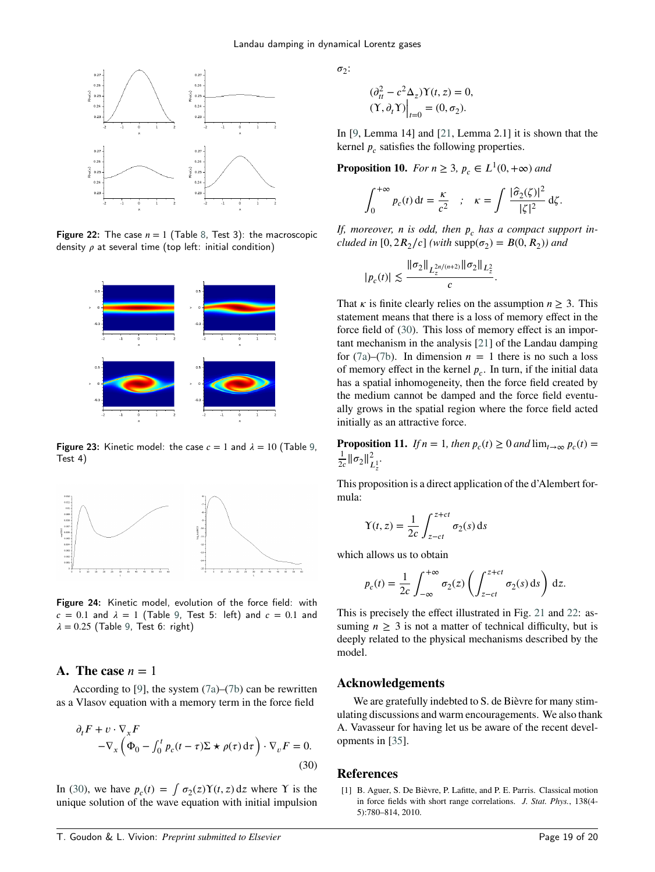<span id="page-18-1"></span>

Figure 22: The case  $n = 1$  (Table [8,](#page-17-0) Test 3): the macroscopic density  $\rho$  at several time (top left: initial condition)

<span id="page-18-3"></span>

**Figure 23:** Kinetic model: the case  $c = 1$  and  $\lambda = 10$  (Table [9,](#page-17-4) Test 4)

<span id="page-18-4"></span>

Figure 24: Kinetic model, evolution of the force field: with  $c = 0.1$  and  $\lambda = 1$  (Table [9,](#page-17-4) Test 5: left) and  $c = 0.1$  and  $\lambda = 0.25$  (Table [9,](#page-17-4) Test 6: right)

# <span id="page-18-2"></span>**A.** The case  $n = 1$

According to [\[9\]](#page-19-13), the system [\(7a\)](#page-2-0)–[\(7b\)](#page-2-1) can be rewritten as a Vlasov equation with a memory term in the force field

$$
\partial_t F + v \cdot \nabla_x F
$$
  
-
$$
\nabla_x \left( \Phi_0 - \int_0^t p_c(t - \tau) \Sigma \star \rho(\tau) d\tau \right) \cdot \nabla_v F = 0.
$$
  
(30)

In [\(30\)](#page-18-5), we have  $p_c(t) = \int \sigma_2(z) Y(t, z) dz$  where Y is the unique solution of the wave equation with initial impulsion  $\sigma_2$ :

$$
(\partial_{tt}^2 - c^2 \Delta_z) \Upsilon(t, z) = 0,
$$
  
\n
$$
(\Upsilon, \partial_t \Upsilon) \Big|_{t=0} = (0, \sigma_2).
$$

In [\[9,](#page-19-13) Lemma 14] and [\[21,](#page-19-12) Lemma 2.1] it is shown that the kernel  $p_c$  satisfies the following properties.

**Proposition 10.** *For*  $n \geq 3$ ,  $p_c \in L^1(0, +\infty)$  *and* 

$$
\int_0^{+\infty} p_c(t) dt = \frac{\kappa}{c^2} \quad ; \quad \kappa = \int \frac{|\hat{\sigma}_2(\zeta)|^2}{|\zeta|^2} d\zeta.
$$

If, moreover, *n* is odd, then  $p_c$  has a compact support in*cluded in* [0,  $2R_2/c$ ] *(with*  $\text{supp}(\sigma_2) = B(0, R_2)$ *)* and

$$
|p_c(t)| \lesssim \frac{\|\sigma_2\|_{L_z^{2n/(n+2)}}\|\sigma_2\|_{L_z^2}}{c}.
$$

That  $\kappa$  is finite clearly relies on the assumption  $n \geq 3$ . This statement means that there is a loss of memory effect in the force field of [\(30\)](#page-18-5). This loss of memory effect is an important mechanism in the analysis [\[21\]](#page-19-12) of the Landau damping for [\(7a\)](#page-2-0)–[\(7b\)](#page-2-1). In dimension  $n = 1$  there is no such a loss of memory effect in the kernel  $p_c$ . In turn, if the initial data has a spatial inhomogeneity, then the force field created by the medium cannot be damped and the force field eventually grows in the spatial region where the force field acted initially as an attractive force.

**Proposition 11.** *If*  $n = 1$ *, then*  $p_c(t) \ge 0$  *and*  $\lim_{t \to \infty} p_c(t) =$ 1  $rac{1}{2c}$  $\|\sigma_2\|_{L^1_\frac{1}{2}}^2$ .

This proposition is a direct application of the d'Alembert formula:

$$
\Upsilon(t, z) = \frac{1}{2c} \int_{z-ct}^{z+ct} \sigma_2(s) \, ds
$$

which allows us to obtain

$$
p_c(t) = \frac{1}{2c} \int_{-\infty}^{+\infty} \sigma_2(z) \left( \int_{z-ct}^{z+ct} \sigma_2(s) \, ds \right) \, dz.
$$

This is precisely the effect illustrated in Fig. [21](#page-17-3) and [22:](#page-18-1) assuming  $n \geq 3$  is not a matter of technical difficulty, but is deeply related to the physical mechanisms described by the model.

## **Acknowledgements**

<span id="page-18-5"></span>We are gratefully indebted to S. de Bièvre for many stimulating discussions and warm encouragements. We also thank A. Vavasseur for having let us be aware of the recent developments in [\[35\]](#page-19-14).

# **References**

<span id="page-18-0"></span>[1] B. Aguer, S. De Bièvre, P. Lafitte, and P. E. Parris. Classical motion in force fields with short range correlations. *J. Stat. Phys.*, 138(4- 5):780–814, 2010.